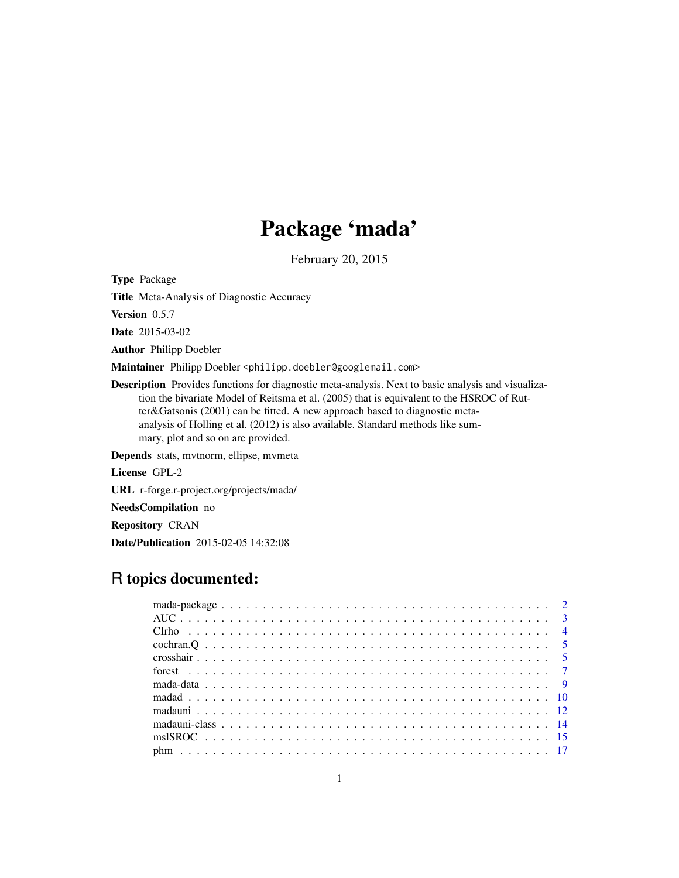# Package 'mada'

February 20, 2015

<span id="page-0-0"></span>Type Package

Title Meta-Analysis of Diagnostic Accuracy

Version 0.5.7

Date 2015-03-02

Author Philipp Doebler

Maintainer Philipp Doebler <philipp.doebler@googlemail.com>

Description Provides functions for diagnostic meta-analysis. Next to basic analysis and visualization the bivariate Model of Reitsma et al. (2005) that is equivalent to the HSROC of Rutter&Gatsonis (2001) can be fitted. A new approach based to diagnostic metaanalysis of Holling et al. (2012) is also available. Standard methods like summary, plot and so on are provided.

Depends stats, mvtnorm, ellipse, mvmeta

License GPL-2

URL r-forge.r-project.org/projects/mada/

NeedsCompilation no

Repository CRAN

Date/Publication 2015-02-05 14:32:08

## R topics documented: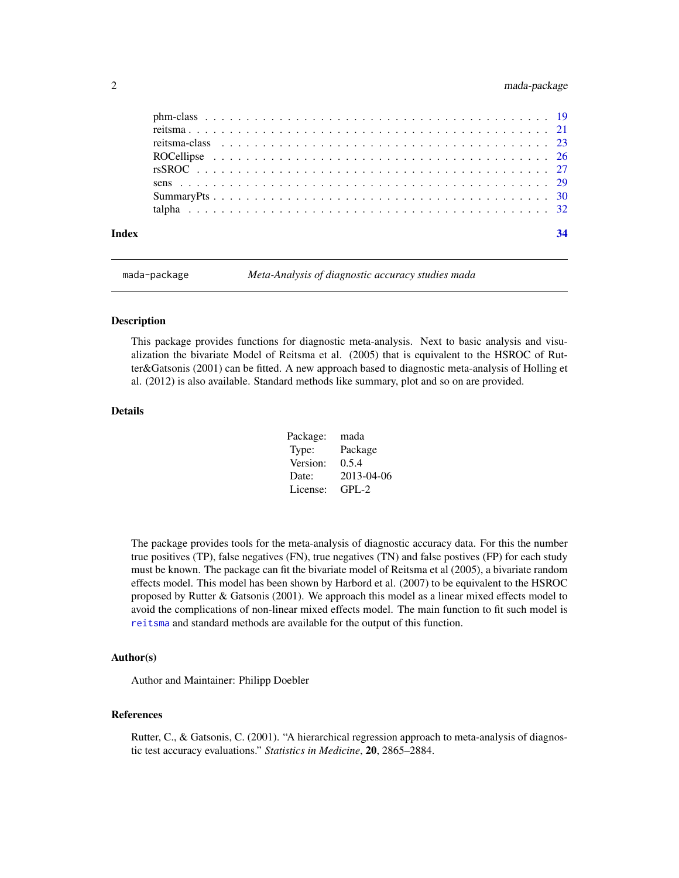### <span id="page-1-0"></span>2 mada-package

| Index |  |  |  |  |  |  |  |  |  |  |  |  |  |  |  |  |  |  |  | 34 |
|-------|--|--|--|--|--|--|--|--|--|--|--|--|--|--|--|--|--|--|--|----|
|       |  |  |  |  |  |  |  |  |  |  |  |  |  |  |  |  |  |  |  |    |
|       |  |  |  |  |  |  |  |  |  |  |  |  |  |  |  |  |  |  |  |    |
|       |  |  |  |  |  |  |  |  |  |  |  |  |  |  |  |  |  |  |  |    |
|       |  |  |  |  |  |  |  |  |  |  |  |  |  |  |  |  |  |  |  |    |
|       |  |  |  |  |  |  |  |  |  |  |  |  |  |  |  |  |  |  |  |    |
|       |  |  |  |  |  |  |  |  |  |  |  |  |  |  |  |  |  |  |  |    |
|       |  |  |  |  |  |  |  |  |  |  |  |  |  |  |  |  |  |  |  |    |
|       |  |  |  |  |  |  |  |  |  |  |  |  |  |  |  |  |  |  |  |    |

mada-package *Meta-Analysis of diagnostic accuracy studies mada*

#### Description

This package provides functions for diagnostic meta-analysis. Next to basic analysis and visualization the bivariate Model of Reitsma et al. (2005) that is equivalent to the HSROC of Rutter&Gatsonis (2001) can be fitted. A new approach based to diagnostic meta-analysis of Holling et al. (2012) is also available. Standard methods like summary, plot and so on are provided.

### Details

| Package: | mada       |
|----------|------------|
| Type:    | Package    |
| Version: | 0.5.4      |
| Date:    | 2013-04-06 |
| License: | $GPI - 2$  |

The package provides tools for the meta-analysis of diagnostic accuracy data. For this the number true positives (TP), false negatives (FN), true negatives (TN) and false postives (FP) for each study must be known. The package can fit the bivariate model of Reitsma et al (2005), a bivariate random effects model. This model has been shown by Harbord et al. (2007) to be equivalent to the HSROC proposed by Rutter & Gatsonis (2001). We approach this model as a linear mixed effects model to avoid the complications of non-linear mixed effects model. The main function to fit such model is [reitsma](#page-20-1) and standard methods are available for the output of this function.

### Author(s)

Author and Maintainer: Philipp Doebler

### References

Rutter, C., & Gatsonis, C. (2001). "A hierarchical regression approach to meta-analysis of diagnostic test accuracy evaluations." *Statistics in Medicine*, 20, 2865–2884.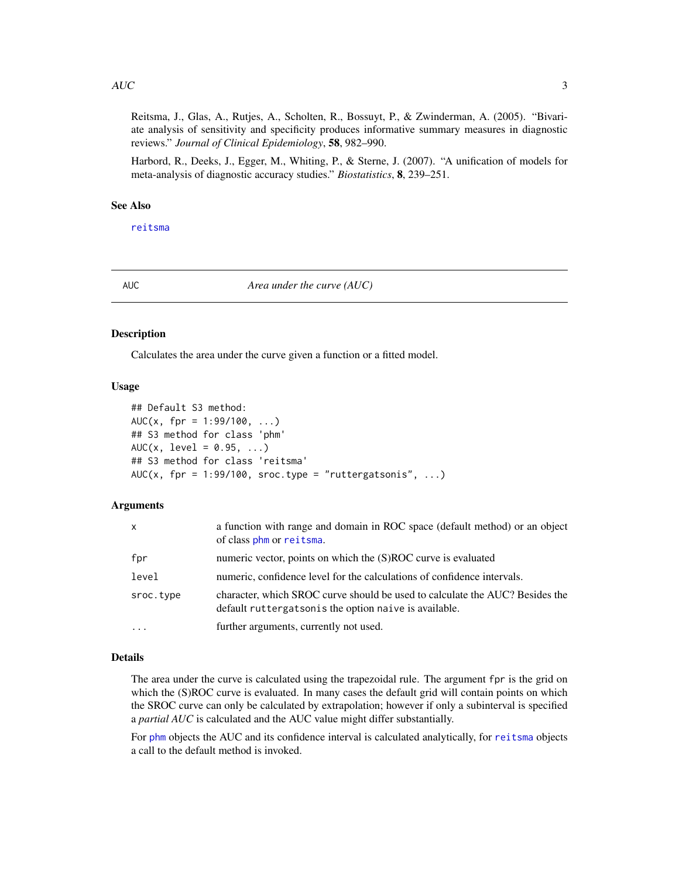#### <span id="page-2-0"></span> $AUC$  3

Reitsma, J., Glas, A., Rutjes, A., Scholten, R., Bossuyt, P., & Zwinderman, A. (2005). "Bivariate analysis of sensitivity and specificity produces informative summary measures in diagnostic reviews." *Journal of Clinical Epidemiology*, 58, 982–990.

Harbord, R., Deeks, J., Egger, M., Whiting, P., & Sterne, J. (2007). "A unification of models for meta-analysis of diagnostic accuracy studies." *Biostatistics*, 8, 239–251.

### See Also

[reitsma](#page-20-1)

AUC *Area under the curve (AUC)*

#### Description

Calculates the area under the curve given a function or a fitted model.

### Usage

```
## Default S3 method:
AUC(x, fpr = 1:99/100, ...)
## S3 method for class 'phm'
AUC(x, \text{level} = 0.95, ...)## S3 method for class 'reitsma'
AUC(x, for = 1:99/100, store.type = "ruttergatsonis", ...)
```
#### Arguments

| $\mathsf{x}$ | a function with range and domain in ROC space (default method) or an object<br>of class phm or reitsma.                               |
|--------------|---------------------------------------------------------------------------------------------------------------------------------------|
| fpr          | numeric vector, points on which the (S)ROC curve is evaluated                                                                         |
| level        | numeric, confidence level for the calculations of confidence intervals.                                                               |
| sroc.type    | character, which SROC curve should be used to calculate the AUC? Besides the<br>default ruttergatsonis the option naive is available. |
| $\cdot$      | further arguments, currently not used.                                                                                                |

### Details

The area under the curve is calculated using the trapezoidal rule. The argument fpr is the grid on which the (S)ROC curve is evaluated. In many cases the default grid will contain points on which the SROC curve can only be calculated by extrapolation; however if only a subinterval is specified a *partial AUC* is calculated and the AUC value might differ substantially.

For [phm](#page-16-1) objects the AUC and its confidence interval is calculated analytically, for [reitsma](#page-20-1) objects a call to the default method is invoked.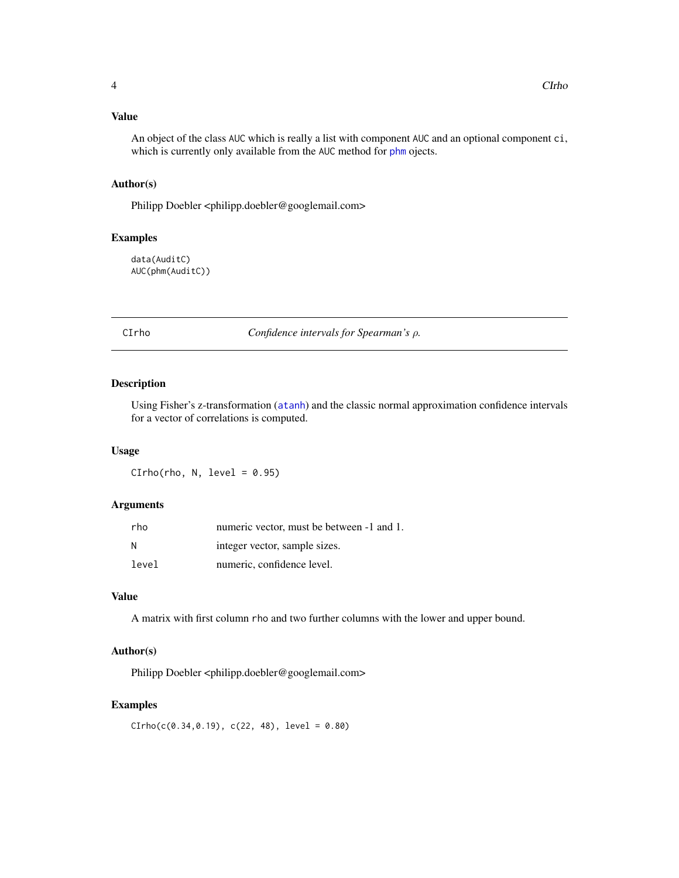<span id="page-3-0"></span>An object of the class AUC which is really a list with component AUC and an optional component ci, which is currently only available from the AUC method for [phm](#page-16-1) ojects.

### Author(s)

Philipp Doebler <philipp.doebler@googlemail.com>

### Examples

data(AuditC) AUC(phm(AuditC))

CIrho *Confidence intervals for Spearman's* ρ*.*

### **Description**

Using Fisher's z-transformation ([atanh](#page-0-0)) and the classic normal approximation confidence intervals for a vector of correlations is computed.

### Usage

 $CIrho(rho, N, level = 0.95)$ 

### Arguments

| rho   | numeric vector, must be between -1 and 1. |
|-------|-------------------------------------------|
| N     | integer vector, sample sizes.             |
| level | numeric, confidence level.                |

### Value

A matrix with first column rho and two further columns with the lower and upper bound.

#### Author(s)

Philipp Doebler <philipp.doebler@googlemail.com>

#### Examples

 $CIrho(c(0.34, 0.19), c(22, 48), level = 0.80)$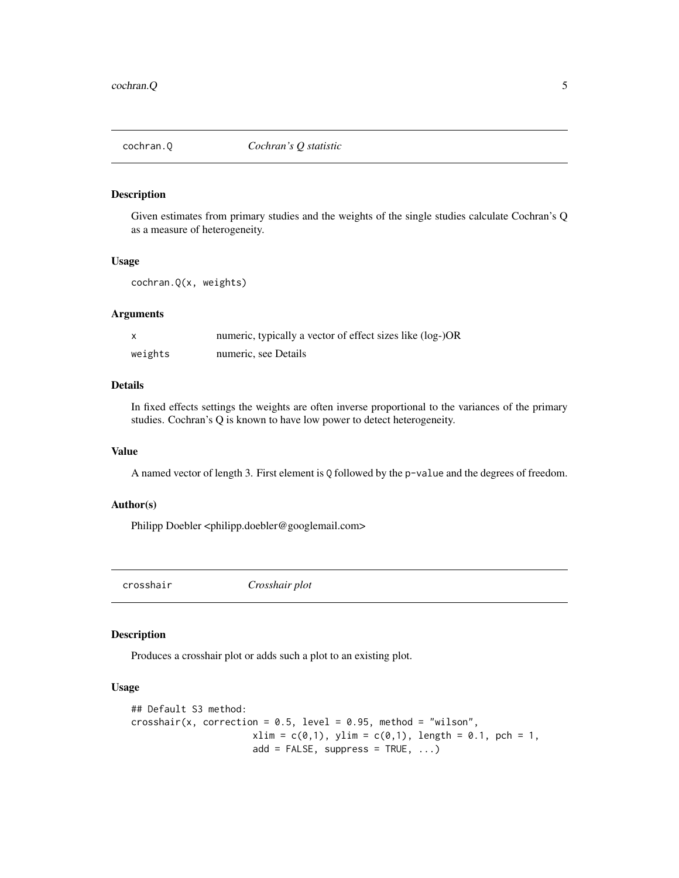<span id="page-4-0"></span>

Given estimates from primary studies and the weights of the single studies calculate Cochran's Q as a measure of heterogeneity.

#### Usage

```
cochran.Q(x, weights)
```
#### Arguments

|         | numeric, typically a vector of effect sizes like (log-)OR |
|---------|-----------------------------------------------------------|
| weights | numeric, see Details                                      |

### Details

In fixed effects settings the weights are often inverse proportional to the variances of the primary studies. Cochran's Q is known to have low power to detect heterogeneity.

### Value

A named vector of length 3. First element is Q followed by the p-value and the degrees of freedom.

#### Author(s)

Philipp Doebler <philipp.doebler@googlemail.com>

<span id="page-4-1"></span>crosshair *Crosshair plot*

### **Description**

Produces a crosshair plot or adds such a plot to an existing plot.

#### Usage

```
## Default S3 method:
crosshair(x, correction = 0.5, level = 0.95, method = "wilson",
                     xlim = c(0,1), ylim = c(0,1), length = 0.1, pch = 1,add = FALSE, supports = TRUE, ...)
```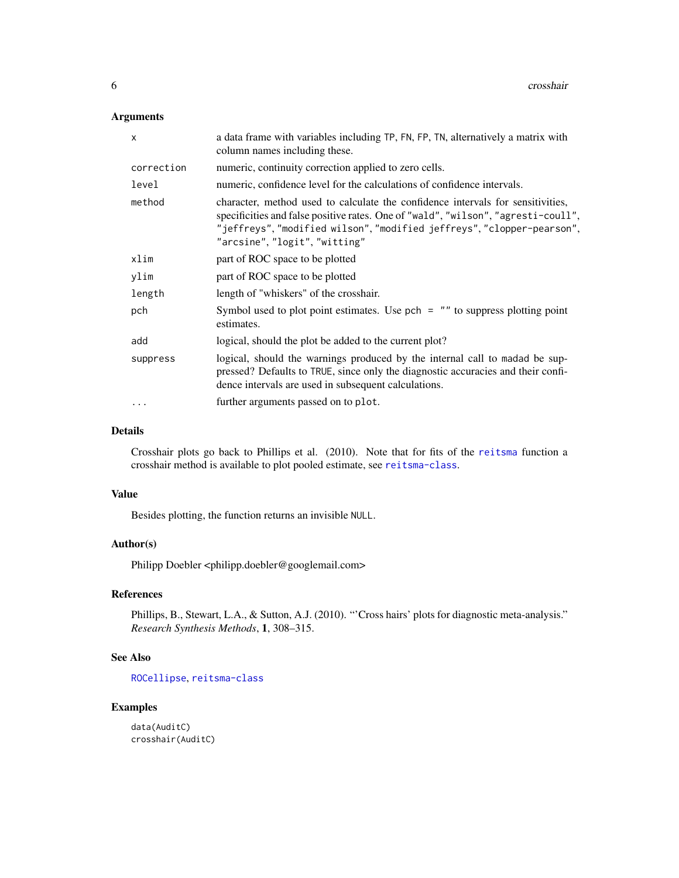### <span id="page-5-0"></span>Arguments

| x          | a data frame with variables including TP, FN, FP, TN, alternatively a matrix with<br>column names including these.                                                                                                                                                              |
|------------|---------------------------------------------------------------------------------------------------------------------------------------------------------------------------------------------------------------------------------------------------------------------------------|
| correction | numeric, continuity correction applied to zero cells.                                                                                                                                                                                                                           |
| level      | numeric, confidence level for the calculations of confidence intervals.                                                                                                                                                                                                         |
| method     | character, method used to calculate the confidence intervals for sensitivities,<br>specificities and false positive rates. One of "wald", "wilson", "agresti-coull",<br>"jeffreys", "modified wilson", "modified jeffreys", "clopper-pearson",<br>"arcsine", "logit", "witting" |
| xlim       | part of ROC space to be plotted                                                                                                                                                                                                                                                 |
| ylim       | part of ROC space to be plotted                                                                                                                                                                                                                                                 |
| length     | length of "whiskers" of the crosshair.                                                                                                                                                                                                                                          |
| pch        | Symbol used to plot point estimates. Use $pch = ""$ to suppress plotting point<br>estimates.                                                                                                                                                                                    |
| add        | logical, should the plot be added to the current plot?                                                                                                                                                                                                                          |
| suppress   | logical, should the warnings produced by the internal call to madad be sup-<br>pressed? Defaults to TRUE, since only the diagnostic accuracies and their confi-<br>dence intervals are used in subsequent calculations.                                                         |
| $\cdot$    | further arguments passed on to plot.                                                                                                                                                                                                                                            |

#### Details

Crosshair plots go back to Phillips et al. (2010). Note that for fits of the [reitsma](#page-20-1) function a crosshair method is available to plot pooled estimate, see [reitsma-class](#page-22-1).

### Value

Besides plotting, the function returns an invisible NULL.

### Author(s)

Philipp Doebler <philipp.doebler@googlemail.com>

### References

Phillips, B., Stewart, L.A., & Sutton, A.J. (2010). "'Cross hairs' plots for diagnostic meta-analysis." *Research Synthesis Methods*, 1, 308–315.

### See Also

[ROCellipse](#page-25-1), [reitsma-class](#page-22-1)

### Examples

data(AuditC) crosshair(AuditC)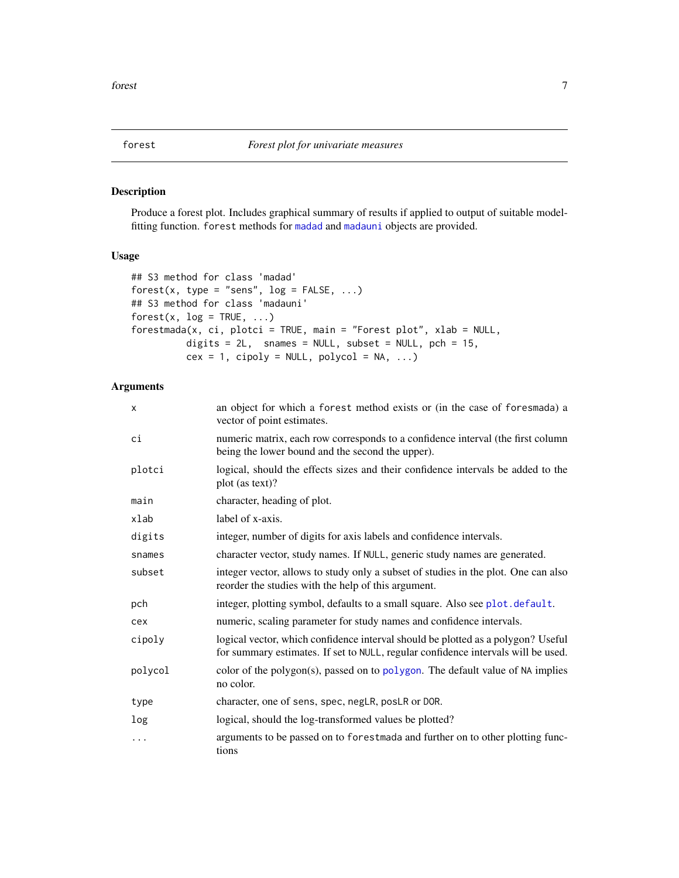<span id="page-6-0"></span>

Produce a forest plot. Includes graphical summary of results if applied to output of suitable modelfitting function. forest methods for [madad](#page-9-1) and [madauni](#page-11-1) objects are provided.

### Usage

```
## S3 method for class 'madad'
forest(x, type = "sens", log = FALSE, ...)
## S3 method for class 'madauni'
forest(x, log = TRUE, ...)forestmada(x, ci, plotci = TRUE, main = "Forest plot", xlab = NULL,
          digits = 2L, snames = NULL, subset = NULL, pch = 15,
          cex = 1, cipoly = NULL, polycol = NA, ...)
```

| x        | an object for which a forest method exists or (in the case of foresmada) a<br>vector of point estimates.                                                              |
|----------|-----------------------------------------------------------------------------------------------------------------------------------------------------------------------|
| сi       | numeric matrix, each row corresponds to a confidence interval (the first column<br>being the lower bound and the second the upper).                                   |
| plotci   | logical, should the effects sizes and their confidence intervals be added to the<br>plot (as text)?                                                                   |
| main     | character, heading of plot.                                                                                                                                           |
| xlab     | label of x-axis.                                                                                                                                                      |
| digits   | integer, number of digits for axis labels and confidence intervals.                                                                                                   |
| snames   | character vector, study names. If NULL, generic study names are generated.                                                                                            |
| subset   | integer vector, allows to study only a subset of studies in the plot. One can also<br>reorder the studies with the help of this argument.                             |
| pch      | integer, plotting symbol, defaults to a small square. Also see plot.default.                                                                                          |
| cex      | numeric, scaling parameter for study names and confidence intervals.                                                                                                  |
| cipoly   | logical vector, which confidence interval should be plotted as a polygon? Useful<br>for summary estimates. If set to NULL, regular confidence intervals will be used. |
| polycol  | color of the polygon(s), passed on to polygon. The default value of NA implies<br>no color.                                                                           |
| type     | character, one of sens, spec, negLR, posLR or DOR.                                                                                                                    |
| log      | logical, should the log-transformed values be plotted?                                                                                                                |
| $\cdots$ | arguments to be passed on to forestmada and further on to other plotting func-<br>tions                                                                               |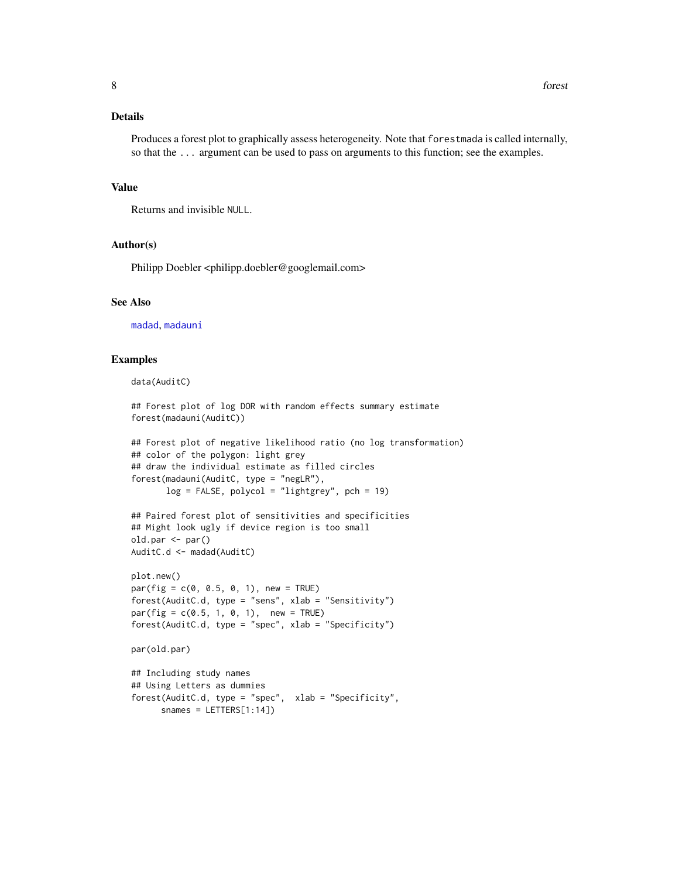### <span id="page-7-0"></span>Details

Produces a forest plot to graphically assess heterogeneity. Note that forestmada is called internally, so that the ... argument can be used to pass on arguments to this function; see the examples.

#### Value

Returns and invisible NULL.

#### Author(s)

Philipp Doebler <philipp.doebler@googlemail.com>

#### See Also

[madad](#page-9-1), [madauni](#page-11-1)

#### Examples

```
data(AuditC)
```

```
## Forest plot of log DOR with random effects summary estimate
forest(madauni(AuditC))
```

```
## Forest plot of negative likelihood ratio (no log transformation)
## color of the polygon: light grey
## draw the individual estimate as filled circles
forest(madauni(AuditC, type = "negLR"),
       log = FALSE, polycol = "lightgrey", pch = 19)
```

```
## Paired forest plot of sensitivities and specificities
## Might look ugly if device region is too small
old.par <- par()
AuditC.d <- madad(AuditC)
```

```
plot.new()
par(fig = c(0, 0.5, 0, 1), new = TRUE)forest(AuditC.d, type = "sens", xlab = "Sensitivity")
par(fig = c(0.5, 1, 0, 1), new = TRUE)forest(AuditC.d, type = "spec", xlab = "Specificity")
```

```
par(old.par)
```

```
## Including study names
## Using Letters as dummies
forest(AuditC.d, type = "spec", xlab = "Specificity",
     snames = LETTERS[1:14])
```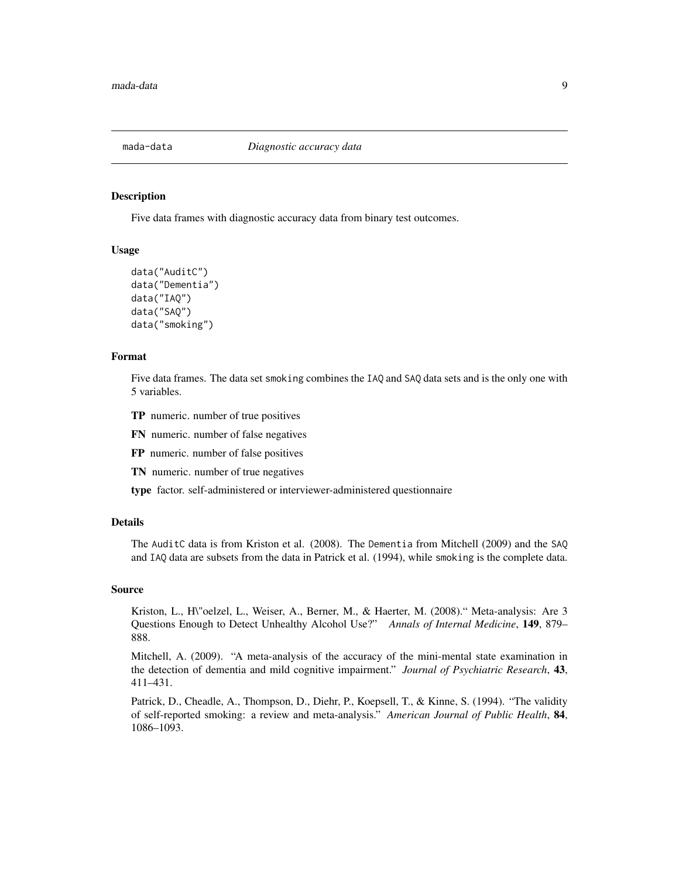<span id="page-8-0"></span>

Five data frames with diagnostic accuracy data from binary test outcomes.

#### Usage

```
data("AuditC")
data("Dementia")
data("IAQ")
data("SAQ")
data("smoking")
```
#### Format

Five data frames. The data set smoking combines the IAQ and SAQ data sets and is the only one with 5 variables.

- TP numeric. number of true positives
- FN numeric. number of false negatives
- FP numeric. number of false positives
- TN numeric. number of true negatives

type factor. self-administered or interviewer-administered questionnaire

#### Details

The AuditC data is from Kriston et al. (2008). The Dementia from Mitchell (2009) and the SAQ and IAQ data are subsets from the data in Patrick et al. (1994), while smoking is the complete data.

#### Source

Kriston, L., H\"oelzel, L., Weiser, A., Berner, M., & Haerter, M. (2008)." Meta-analysis: Are 3 Questions Enough to Detect Unhealthy Alcohol Use?" *Annals of Internal Medicine*, 149, 879– 888.

Mitchell, A. (2009). "A meta-analysis of the accuracy of the mini-mental state examination in the detection of dementia and mild cognitive impairment." *Journal of Psychiatric Research*, 43, 411–431.

Patrick, D., Cheadle, A., Thompson, D., Diehr, P., Koepsell, T., & Kinne, S. (1994). "The validity of self-reported smoking: a review and meta-analysis." *American Journal of Public Health*, 84, 1086–1093.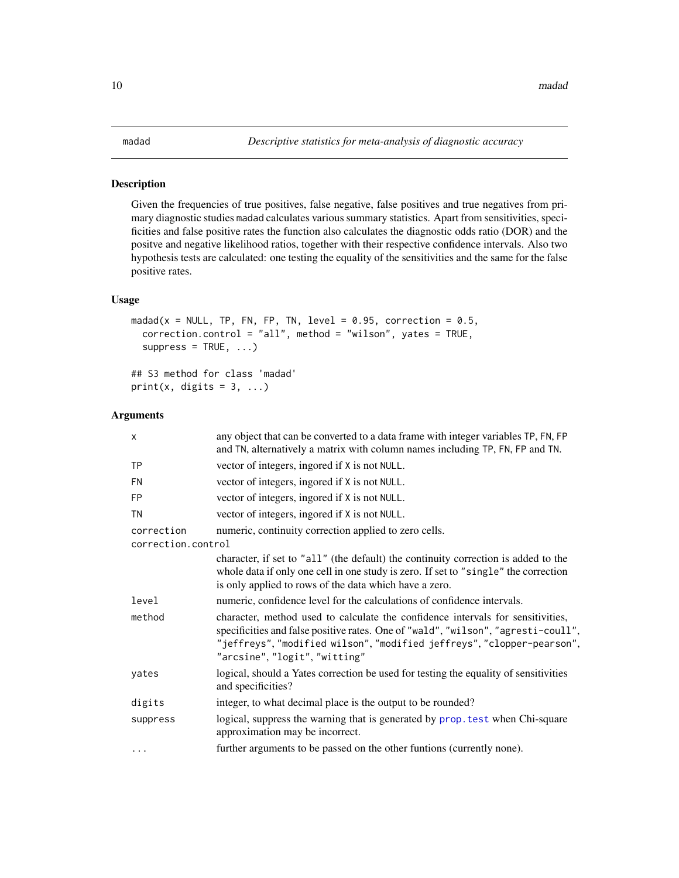<span id="page-9-1"></span><span id="page-9-0"></span>Given the frequencies of true positives, false negative, false positives and true negatives from primary diagnostic studies madad calculates various summary statistics. Apart from sensitivities, specificities and false positive rates the function also calculates the diagnostic odds ratio (DOR) and the positve and negative likelihood ratios, together with their respective confidence intervals. Also two hypothesis tests are calculated: one testing the equality of the sensitivities and the same for the false positive rates.

### Usage

```
madad(x = NULL, TP, FN, FP, TN, level = 0.95, correction = 0.5,
 correction.control = "all", method = "wilson", yates = TRUE,
  suppress = TRUE, ...)## S3 method for class 'madad'
```

```
print(x, digits = 3, ...)
```

| X                  | any object that can be converted to a data frame with integer variables TP, FN, FP<br>and TN, alternatively a matrix with column names including TP, FN, FP and TN.                                                                                                             |
|--------------------|---------------------------------------------------------------------------------------------------------------------------------------------------------------------------------------------------------------------------------------------------------------------------------|
| <b>TP</b>          | vector of integers, ingored if X is not NULL.                                                                                                                                                                                                                                   |
| <b>FN</b>          | vector of integers, ingored if X is not NULL.                                                                                                                                                                                                                                   |
| <b>FP</b>          | vector of integers, ingored if X is not NULL.                                                                                                                                                                                                                                   |
| <b>TN</b>          | vector of integers, ingored if X is not NULL.                                                                                                                                                                                                                                   |
| correction         | numeric, continuity correction applied to zero cells.                                                                                                                                                                                                                           |
| correction.control |                                                                                                                                                                                                                                                                                 |
|                    | character, if set to "all" (the default) the continuity correction is added to the<br>whole data if only one cell in one study is zero. If set to "single" the correction<br>is only applied to rows of the data which have a zero.                                             |
| level              | numeric, confidence level for the calculations of confidence intervals.                                                                                                                                                                                                         |
| method             | character, method used to calculate the confidence intervals for sensitivities,<br>specificities and false positive rates. One of "wald", "wilson", "agresti-coull",<br>"jeffreys", "modified wilson", "modified jeffreys", "clopper-pearson",<br>"arcsine", "logit", "witting" |
| yates              | logical, should a Yates correction be used for testing the equality of sensitivities<br>and specificities?                                                                                                                                                                      |
| digits             | integer, to what decimal place is the output to be rounded?                                                                                                                                                                                                                     |
| suppress           | logical, suppress the warning that is generated by prop. test when Chi-square<br>approximation may be incorrect.                                                                                                                                                                |
| $\cdots$           | further arguments to be passed on the other funtions (currently none).                                                                                                                                                                                                          |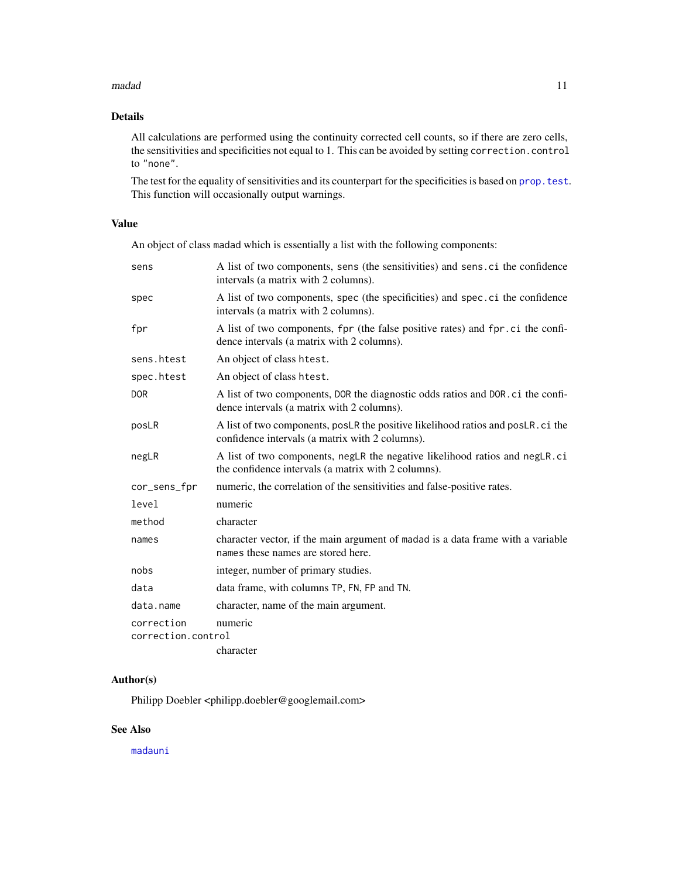#### <span id="page-10-0"></span>madad **11** and 11 and 11 and 11 and 11 and 11 and 11 and 11 and 11 and 11 and 11 and 11 and 11 and 11 and 11 and 11 and 11 and 11 and 11 and 11 and 11 and 12 and 12 and 12 and 12 and 12 and 12 and 12 and 12 and 12 and 12 a

### Details

All calculations are performed using the continuity corrected cell counts, so if there are zero cells, the sensitivities and specificities not equal to 1. This can be avoided by setting correction.control to "none".

The test for the equality of sensitivities and its counterpart for the specificities is based on prop. test. This function will occasionally output warnings.

### Value

An object of class madad which is essentially a list with the following components:

| sens                             | A list of two components, sens (the sensitivities) and sens.ci the confidence<br>intervals (a matrix with 2 columns).               |
|----------------------------------|-------------------------------------------------------------------------------------------------------------------------------------|
| spec                             | A list of two components, spec (the specificities) and spec. ci the confidence<br>intervals (a matrix with 2 columns).              |
| fpr                              | A list of two components, fpr (the false positive rates) and fpr. ci the confi-<br>dence intervals (a matrix with 2 columns).       |
| sens.htest                       | An object of class htest.                                                                                                           |
| spec.htest                       | An object of class htest.                                                                                                           |
| <b>DOR</b>                       | A list of two components, DOR the diagnostic odds ratios and DOR. ci the confi-<br>dence intervals (a matrix with 2 columns).       |
| posLR                            | A list of two components, posLR the positive likelihood ratios and posLR. ci the<br>confidence intervals (a matrix with 2 columns). |
| negLR                            | A list of two components, negLR the negative likelihood ratios and negLR.ci<br>the confidence intervals (a matrix with 2 columns).  |
| cor_sens_fpr                     | numeric, the correlation of the sensitivities and false-positive rates.                                                             |
| level                            | numeric                                                                                                                             |
| method                           | character                                                                                                                           |
| names                            | character vector, if the main argument of madad is a data frame with a variable<br>names these names are stored here.               |
| nobs                             | integer, number of primary studies.                                                                                                 |
| data                             | data frame, with columns TP, FN, FP and TN.                                                                                         |
| data.name                        | character, name of the main argument.                                                                                               |
| correction<br>correction.control | numeric                                                                                                                             |
|                                  | character                                                                                                                           |

### Author(s)

Philipp Doebler <philipp.doebler@googlemail.com>

### See Also

[madauni](#page-11-1)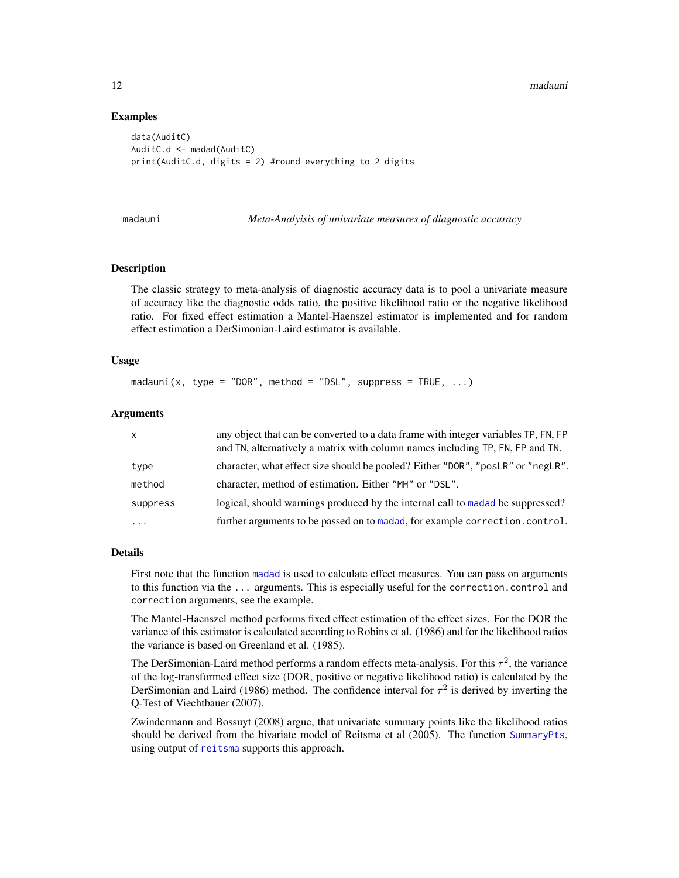<span id="page-11-0"></span>12 madauni madauni menyebabkan ke antara tersebut di kecamatan ke antara tersebut di kecamatan madauni mengena

#### Examples

```
data(AuditC)
AuditC.d <- madad(AuditC)
print(AuditC.d, digits = 2) #round everything to 2 digits
```
<span id="page-11-1"></span>madauni *Meta-Analyisis of univariate measures of diagnostic accuracy*

#### Description

The classic strategy to meta-analysis of diagnostic accuracy data is to pool a univariate measure of accuracy like the diagnostic odds ratio, the positive likelihood ratio or the negative likelihood ratio. For fixed effect estimation a Mantel-Haenszel estimator is implemented and for random effect estimation a DerSimonian-Laird estimator is available.

### Usage

madauni(x, type = "DOR", method = "DSL", suppress = TRUE,  $\ldots$ )

#### Arguments

| $\mathsf{X}$ | any object that can be converted to a data frame with integer variables TP, FN, FP<br>and TN, alternatively a matrix with column names including TP, FN, FP and TN. |
|--------------|---------------------------------------------------------------------------------------------------------------------------------------------------------------------|
| type         | character, what effect size should be pooled? Either "DOR", "posLR" or "negLR".                                                                                     |
| method       | character, method of estimation. Either "MH" or "DSL".                                                                                                              |
| suppress     | logical, should warnings produced by the internal call to madad be suppressed?                                                                                      |
| $\ddotsc$    | further arguments to be passed on to madad, for example correction.control.                                                                                         |

#### Details

First note that the function [madad](#page-9-1) is used to calculate effect measures. You can pass on arguments to this function via the ... arguments. This is especially useful for the correction.control and correction arguments, see the example.

The Mantel-Haenszel method performs fixed effect estimation of the effect sizes. For the DOR the variance of this estimator is calculated according to Robins et al. (1986) and for the likelihood ratios the variance is based on Greenland et al. (1985).

The DerSimonian-Laird method performs a random effects meta-analysis. For this  $\tau^2$ , the variance of the log-transformed effect size (DOR, positive or negative likelihood ratio) is calculated by the DerSimonian and Laird (1986) method. The confidence interval for  $\tau^2$  is derived by inverting the Q-Test of Viechtbauer (2007).

Zwindermann and Bossuyt (2008) argue, that univariate summary points like the likelihood ratios should be derived from the bivariate model of Reitsma et al (2005). The function [SummaryPts](#page-29-1), using output of [reitsma](#page-20-1) supports this approach.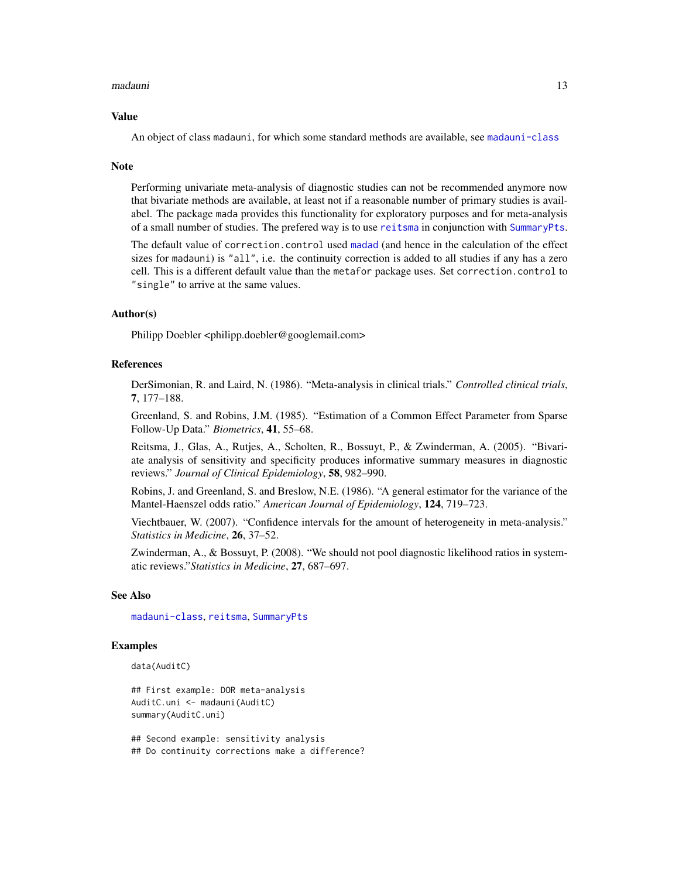#### <span id="page-12-0"></span>madauni **13**

#### Value

An object of class madauni, for which some standard methods are available, see [madauni-class](#page-13-1)

#### **Note**

Performing univariate meta-analysis of diagnostic studies can not be recommended anymore now that bivariate methods are available, at least not if a reasonable number of primary studies is availabel. The package mada provides this functionality for exploratory purposes and for meta-analysis of a small number of studies. The prefered way is to use [reitsma](#page-20-1) in conjunction with [SummaryPts](#page-29-1).

The default value of correction.control used [madad](#page-9-1) (and hence in the calculation of the effect sizes for madauni) is "all", i.e. the continuity correction is added to all studies if any has a zero cell. This is a different default value than the metafor package uses. Set correction.control to "single" to arrive at the same values.

### Author(s)

Philipp Doebler <philipp.doebler@googlemail.com>

#### References

DerSimonian, R. and Laird, N. (1986). "Meta-analysis in clinical trials." *Controlled clinical trials*, 7, 177–188.

Greenland, S. and Robins, J.M. (1985). "Estimation of a Common Effect Parameter from Sparse Follow-Up Data." *Biometrics*, 41, 55–68.

Reitsma, J., Glas, A., Rutjes, A., Scholten, R., Bossuyt, P., & Zwinderman, A. (2005). "Bivariate analysis of sensitivity and specificity produces informative summary measures in diagnostic reviews." *Journal of Clinical Epidemiology*, 58, 982–990.

Robins, J. and Greenland, S. and Breslow, N.E. (1986). "A general estimator for the variance of the Mantel-Haenszel odds ratio." *American Journal of Epidemiology*, 124, 719–723.

Viechtbauer, W. (2007). "Confidence intervals for the amount of heterogeneity in meta-analysis." *Statistics in Medicine*, 26, 37–52.

Zwinderman, A., & Bossuyt, P. (2008). "We should not pool diagnostic likelihood ratios in systematic reviews."*Statistics in Medicine*, 27, 687–697.

#### See Also

[madauni-class](#page-13-1), [reitsma](#page-20-1), [SummaryPts](#page-29-1)

#### Examples

data(AuditC)

```
## First example: DOR meta-analysis
AuditC.uni <- madauni(AuditC)
summary(AuditC.uni)
```
## Second example: sensitivity analysis ## Do continuity corrections make a difference?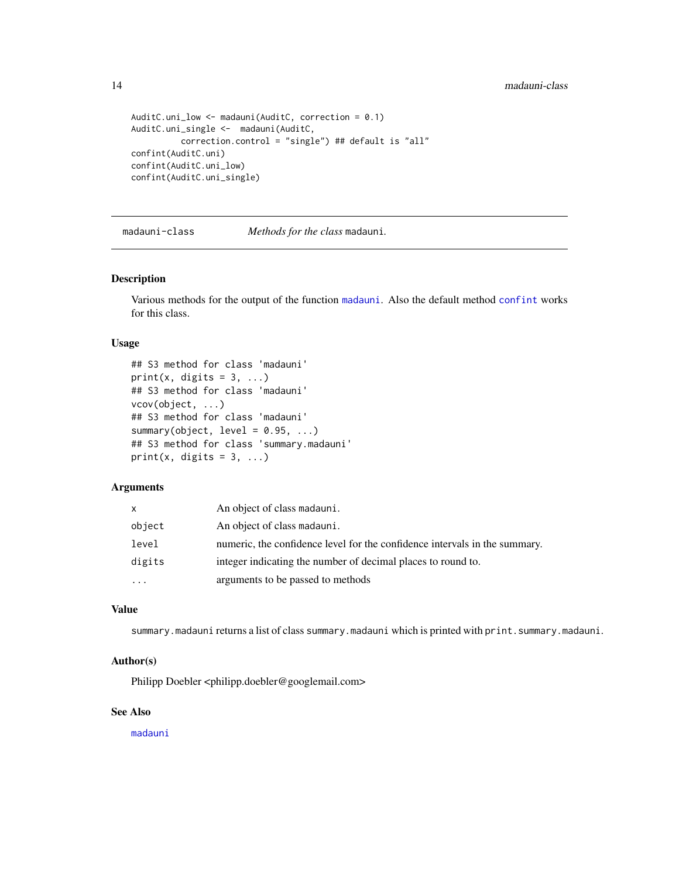```
AuditC.uni_low <- madauni(AuditC, correction = 0.1)
AuditC.uni_single <- madauni(AuditC,
         correction.control = "single") ## default is "all"
confint(AuditC.uni)
confint(AuditC.uni_low)
confint(AuditC.uni_single)
```
<span id="page-13-1"></span>madauni-class *Methods for the class* madauni*.*

#### Description

Various methods for the output of the function [madauni](#page-11-1). Also the default method [confint](#page-0-0) works for this class.

### Usage

```
## S3 method for class 'madauni'
print(x, digits = 3, ...)
## S3 method for class 'madauni'
vcov(object, ...)
## S3 method for class 'madauni'
summary(object, level = 0.95, ...)
## S3 method for class 'summary.madauni'
print(x, digits = 3, ...)
```
### Arguments

| <b>X</b>  | An object of class madauni.                                                |
|-----------|----------------------------------------------------------------------------|
| object    | An object of class madauni.                                                |
| level     | numeric, the confidence level for the confidence intervals in the summary. |
| digits    | integer indicating the number of decimal places to round to.               |
| $\ddotsc$ | arguments to be passed to methods                                          |

### Value

summary.madauni returns a list of class summary.madauni which is printed with print.summary.madauni.

#### Author(s)

Philipp Doebler <philipp.doebler@googlemail.com>

### See Also

[madauni](#page-11-1)

<span id="page-13-0"></span>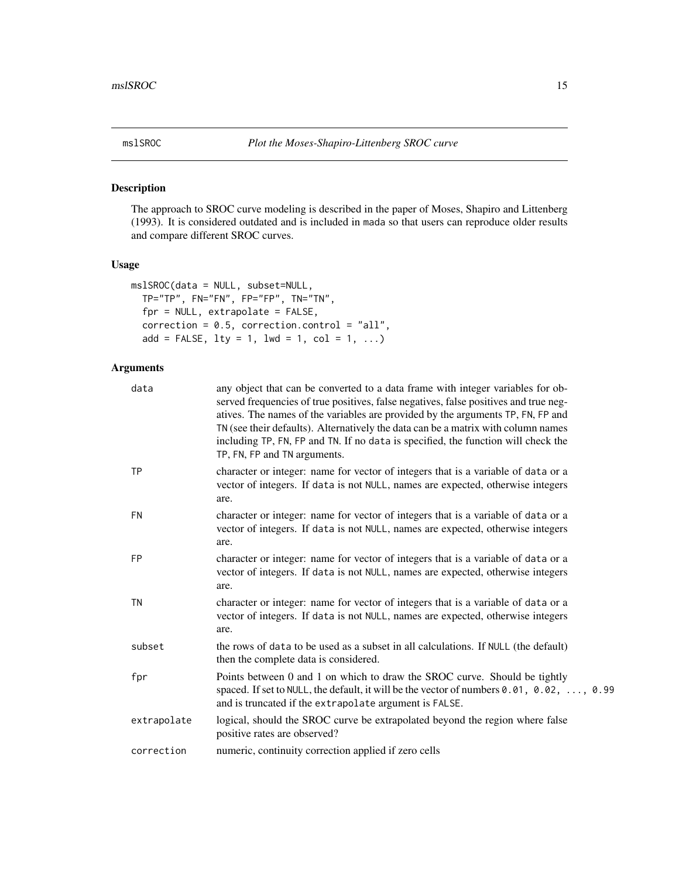<span id="page-14-0"></span>

The approach to SROC curve modeling is described in the paper of Moses, Shapiro and Littenberg (1993). It is considered outdated and is included in mada so that users can reproduce older results and compare different SROC curves.

### Usage

```
mslSROC(data = NULL, subset=NULL,
 TP="TP", FN="FN", FP="FP", TN="TN",
  fpr = NULL, extrapolate = FALSE,
  correction = 0.5, correction.control = "all",
  add = FALSE, 1ty = 1, 1wd = 1, col = 1, ...)
```

| data        | any object that can be converted to a data frame with integer variables for ob-<br>served frequencies of true positives, false negatives, false positives and true neg-<br>atives. The names of the variables are provided by the arguments TP, FN, FP and<br>TN (see their defaults). Alternatively the data can be a matrix with column names<br>including TP, FN, FP and TN. If no data is specified, the function will check the<br>TP, FN, FP and TN arguments. |
|-------------|----------------------------------------------------------------------------------------------------------------------------------------------------------------------------------------------------------------------------------------------------------------------------------------------------------------------------------------------------------------------------------------------------------------------------------------------------------------------|
| <b>TP</b>   | character or integer: name for vector of integers that is a variable of data or a<br>vector of integers. If data is not NULL, names are expected, otherwise integers<br>are.                                                                                                                                                                                                                                                                                         |
| <b>FN</b>   | character or integer: name for vector of integers that is a variable of data or a<br>vector of integers. If data is not NULL, names are expected, otherwise integers<br>are.                                                                                                                                                                                                                                                                                         |
| <b>FP</b>   | character or integer: name for vector of integers that is a variable of data or a<br>vector of integers. If data is not NULL, names are expected, otherwise integers<br>are.                                                                                                                                                                                                                                                                                         |
| <b>TN</b>   | character or integer: name for vector of integers that is a variable of data or a<br>vector of integers. If data is not NULL, names are expected, otherwise integers<br>are.                                                                                                                                                                                                                                                                                         |
| subset      | the rows of data to be used as a subset in all calculations. If NULL (the default)<br>then the complete data is considered.                                                                                                                                                                                                                                                                                                                                          |
| fpr         | Points between 0 and 1 on which to draw the SROC curve. Should be tightly<br>spaced. If set to NULL, the default, it will be the vector of numbers 0.01, 0.02, , 0.99<br>and is truncated if the extrapolate argument is FALSE.                                                                                                                                                                                                                                      |
| extrapolate | logical, should the SROC curve be extrapolated beyond the region where false<br>positive rates are observed?                                                                                                                                                                                                                                                                                                                                                         |
| correction  | numeric, continuity correction applied if zero cells                                                                                                                                                                                                                                                                                                                                                                                                                 |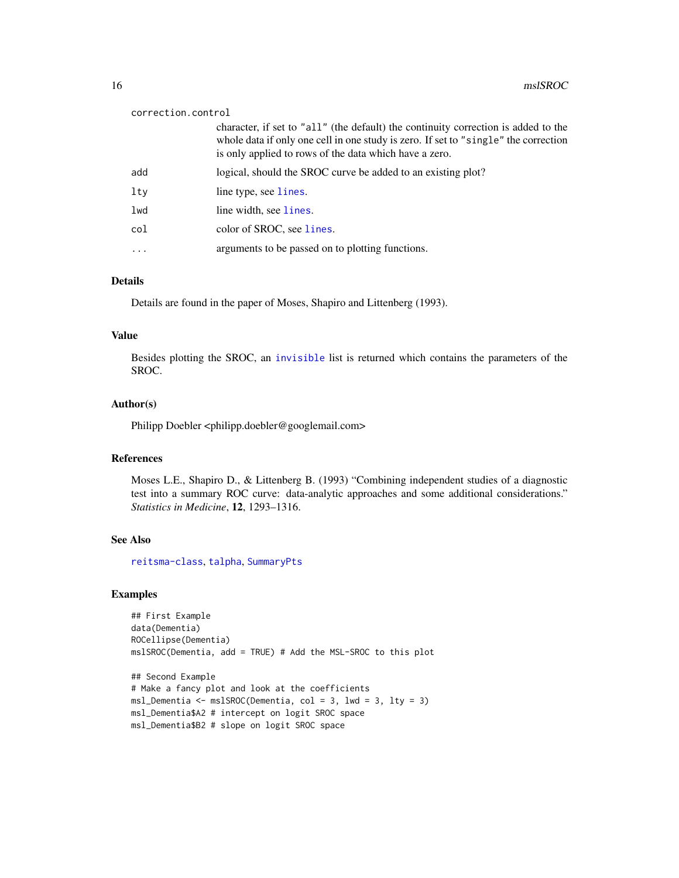#### <span id="page-15-0"></span>correction.control

|          | character, if set to "all" (the default) the continuity correction is added to the<br>whole data if only one cell in one study is zero. If set to "single" the correction<br>is only applied to rows of the data which have a zero. |
|----------|-------------------------------------------------------------------------------------------------------------------------------------------------------------------------------------------------------------------------------------|
| add      | logical, should the SROC curve be added to an existing plot?                                                                                                                                                                        |
| lty      | line type, see lines.                                                                                                                                                                                                               |
| lwd      | line width, see lines.                                                                                                                                                                                                              |
| col      | color of SROC, see lines.                                                                                                                                                                                                           |
| $\cdots$ | arguments to be passed on to plotting functions.                                                                                                                                                                                    |

#### Details

Details are found in the paper of Moses, Shapiro and Littenberg (1993).

### Value

Besides plotting the SROC, an [invisible](#page-0-0) list is returned which contains the parameters of the SROC.

#### Author(s)

Philipp Doebler <philipp.doebler@googlemail.com>

#### References

Moses L.E., Shapiro D., & Littenberg B. (1993) "Combining independent studies of a diagnostic test into a summary ROC curve: data-analytic approaches and some additional considerations." *Statistics in Medicine*, 12, 1293–1316.

#### See Also

[reitsma-class](#page-22-1), [talpha](#page-31-1), [SummaryPts](#page-29-1)

#### Examples

```
## First Example
data(Dementia)
ROCellipse(Dementia)
mslSROC(Dementia, add = TRUE) # Add the MSL-SROC to this plot
## Second Example
# Make a fancy plot and look at the coefficients
msl_Dementia <- mslSROC(Dementia, col = 3, lwd = 3, lty = 3)
```
- msl\_Dementia\$A2 # intercept on logit SROC space
- msl\_Dementia\$B2 # slope on logit SROC space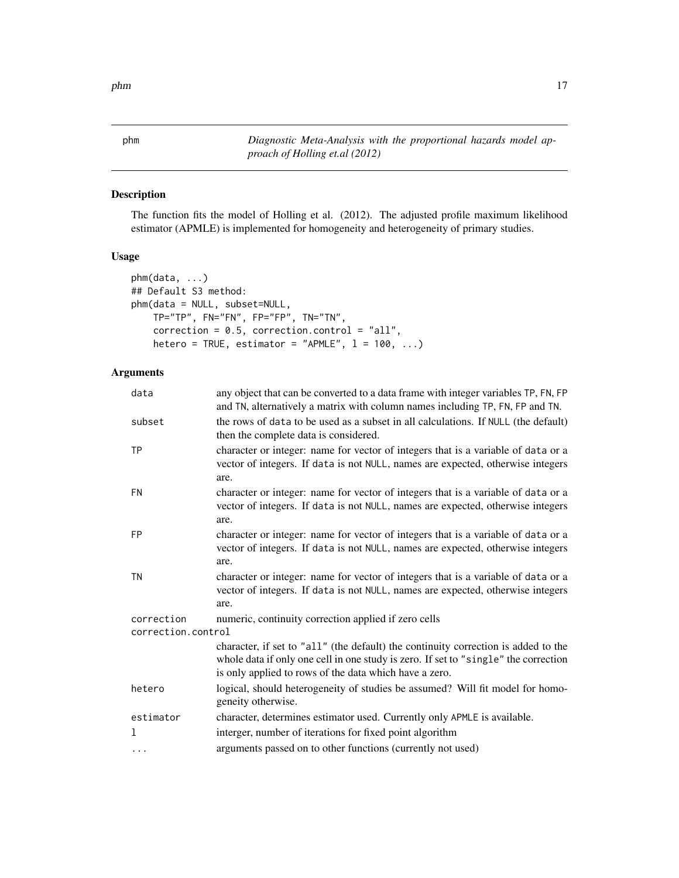<span id="page-16-1"></span><span id="page-16-0"></span>phm *Diagnostic Meta-Analysis with the proportional hazards model approach of Holling et.al (2012)*

### Description

The function fits the model of Holling et al. (2012). The adjusted profile maximum likelihood estimator (APMLE) is implemented for homogeneity and heterogeneity of primary studies.

### Usage

```
phm(data, ...)
## Default S3 method:
phm(data = NULL, subset=NULL,
    TP="TP", FN="FN", FP="FP", TN="TN",
    correction = 0.5, correction.control = "all",
   hetero = TRUE, estimator = "APMLE", l = 100, ...
```

| data                             | any object that can be converted to a data frame with integer variables TP, FN, FP<br>and TN, alternatively a matrix with column names including TP, FN, FP and TN.                                                                 |  |
|----------------------------------|-------------------------------------------------------------------------------------------------------------------------------------------------------------------------------------------------------------------------------------|--|
| subset                           | the rows of data to be used as a subset in all calculations. If NULL (the default)<br>then the complete data is considered.                                                                                                         |  |
| <b>TP</b>                        | character or integer: name for vector of integers that is a variable of data or a<br>vector of integers. If data is not NULL, names are expected, otherwise integers<br>are.                                                        |  |
| <b>FN</b>                        | character or integer: name for vector of integers that is a variable of data or a<br>vector of integers. If data is not NULL, names are expected, otherwise integers<br>are.                                                        |  |
| <b>FP</b>                        | character or integer: name for vector of integers that is a variable of data or a<br>vector of integers. If data is not NULL, names are expected, otherwise integers<br>are.                                                        |  |
| <b>TN</b>                        | character or integer: name for vector of integers that is a variable of data or a<br>vector of integers. If data is not NULL, names are expected, otherwise integers<br>are.                                                        |  |
| correction<br>correction.control | numeric, continuity correction applied if zero cells                                                                                                                                                                                |  |
|                                  | character, if set to "all" (the default) the continuity correction is added to the<br>whole data if only one cell in one study is zero. If set to "single" the correction<br>is only applied to rows of the data which have a zero. |  |
| hetero                           | logical, should heterogeneity of studies be assumed? Will fit model for homo-<br>geneity otherwise.                                                                                                                                 |  |
| estimator                        | character, determines estimator used. Currently only APMLE is available.                                                                                                                                                            |  |
| 1                                | interger, number of iterations for fixed point algorithm                                                                                                                                                                            |  |
| $\ddots$                         | arguments passed on to other functions (currently not used)                                                                                                                                                                         |  |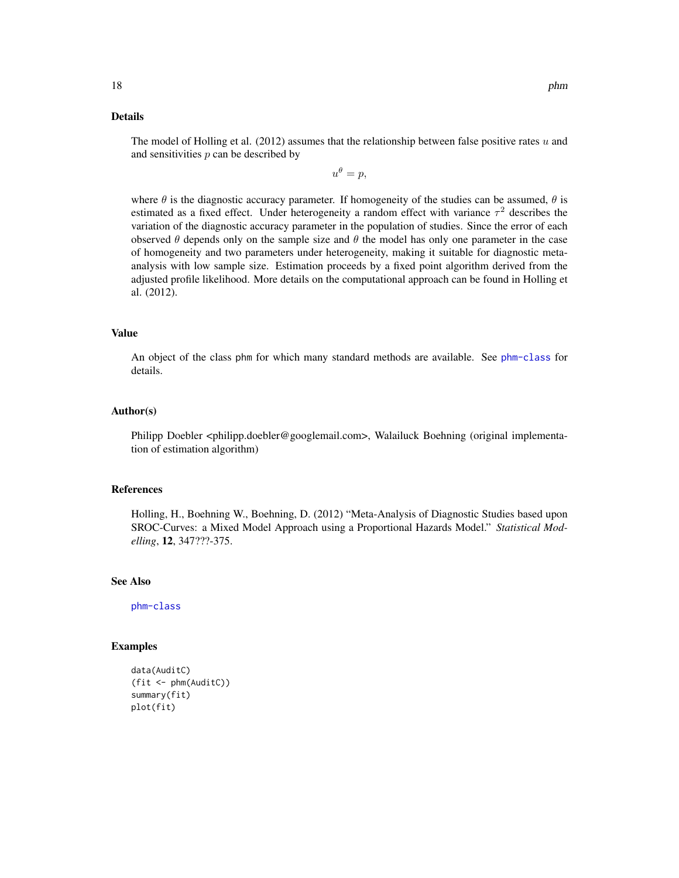### Details

The model of Holling et al. (2012) assumes that the relationship between false positive rates  $u$  and and sensitivities  $p$  can be described by

 $u^{\theta} = p,$ 

where  $\theta$  is the diagnostic accuracy parameter. If homogeneity of the studies can be assumed,  $\theta$  is estimated as a fixed effect. Under heterogeneity a random effect with variance  $\tau^2$  describes the variation of the diagnostic accuracy parameter in the population of studies. Since the error of each observed  $\theta$  depends only on the sample size and  $\theta$  the model has only one parameter in the case of homogeneity and two parameters under heterogeneity, making it suitable for diagnostic metaanalysis with low sample size. Estimation proceeds by a fixed point algorithm derived from the adjusted profile likelihood. More details on the computational approach can be found in Holling et al. (2012).

### Value

An object of the class phm for which many standard methods are available. See [phm-class](#page-18-1) for details.

#### Author(s)

Philipp Doebler <philipp.doebler@googlemail.com>, Walailuck Boehning (original implementation of estimation algorithm)

### References

Holling, H., Boehning W., Boehning, D. (2012) "Meta-Analysis of Diagnostic Studies based upon SROC-Curves: a Mixed Model Approach using a Proportional Hazards Model." *Statistical Modelling*, 12, 347???-375.

### See Also

[phm-class](#page-18-1)

#### Examples

```
data(AuditC)
(fit <- phm(AuditC))
summary(fit)
plot(fit)
```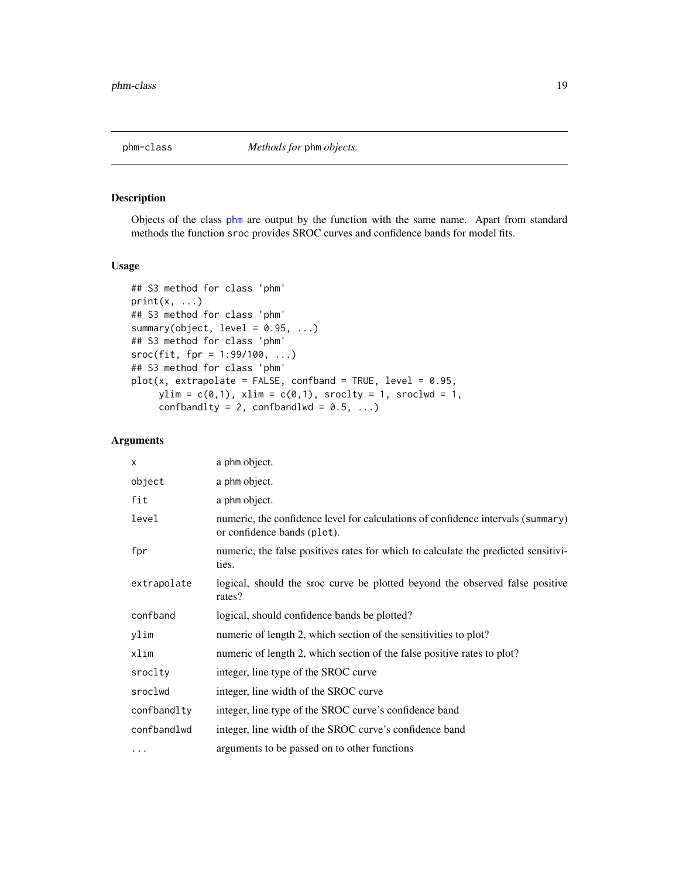<span id="page-18-1"></span><span id="page-18-0"></span>

Objects of the class [phm](#page-16-1) are output by the function with the same name. Apart from standard methods the function sroc provides SROC curves and confidence bands for model fits.

#### Usage

```
## S3 method for class 'phm'
print(x, \ldots)## S3 method for class 'phm'
summary(object, level = 0.95, ...)
## S3 method for class 'phm'
\text{smoc}(fit, fpr = 1:99/100, ...)## S3 method for class 'phm'
plot(x, extrapolate = FALSE, confband = TRUE, level = 0.95,ylim = c(0,1), xlim = c(0,1), sroclty = 1, sroclwd = 1,
     confbandlty = 2, confbandlwd = 0.5, ...)
```

| $\times$    | a phm object.                                                                                                   |
|-------------|-----------------------------------------------------------------------------------------------------------------|
| object      | a phm object.                                                                                                   |
| fit         | a phm object.                                                                                                   |
| level       | numeric, the confidence level for calculations of confidence intervals (summary)<br>or confidence bands (plot). |
| fpr         | numeric, the false positives rates for which to calculate the predicted sensitivi-<br>ties.                     |
| extrapolate | logical, should the sroc curve be plotted beyond the observed false positive<br>rates?                          |
| confband    | logical, should confidence bands be plotted?                                                                    |
| ylim        | numeric of length 2, which section of the sensitivities to plot?                                                |
| xlim        | numeric of length 2, which section of the false positive rates to plot?                                         |
| sroclty     | integer, line type of the SROC curve                                                                            |
| sroclwd     | integer, line width of the SROC curve                                                                           |
| confbandlty | integer, line type of the SROC curve's confidence band                                                          |
| confbandlwd | integer, line width of the SROC curve's confidence band                                                         |
| .           | arguments to be passed on to other functions                                                                    |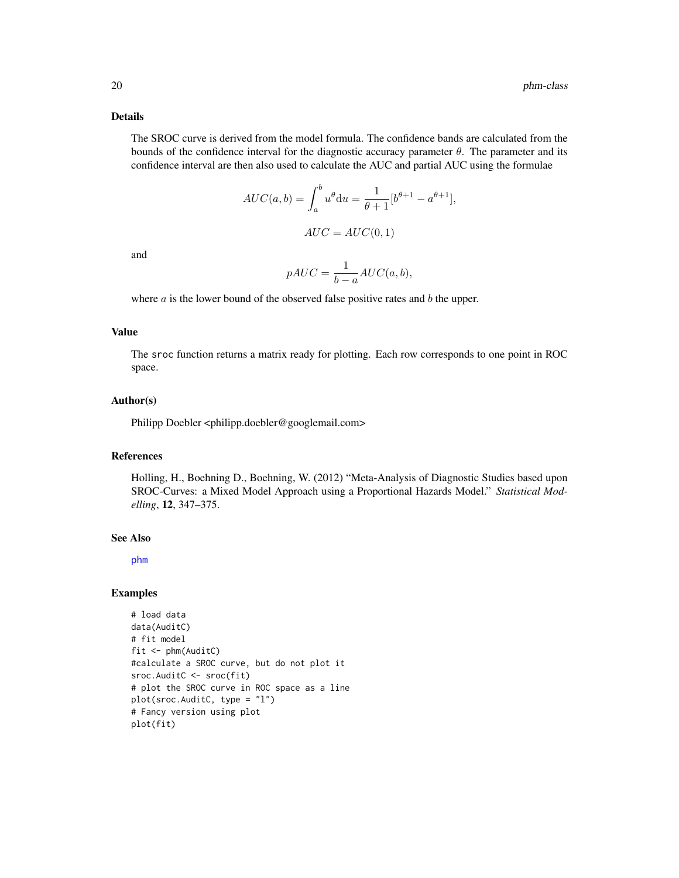#### <span id="page-19-0"></span>Details

The SROC curve is derived from the model formula. The confidence bands are calculated from the bounds of the confidence interval for the diagnostic accuracy parameter  $\theta$ . The parameter and its confidence interval are then also used to calculate the AUC and partial AUC using the formulae

$$
AUC(a,b) = \int_a^b u^{\theta} du = \frac{1}{\theta+1} [b^{\theta+1} - a^{\theta+1}],
$$

$$
AUC = AUC(0,1)
$$

and

$$
pAUC = \frac{1}{b-a}AUC(a,b),
$$

where  $a$  is the lower bound of the observed false positive rates and  $b$  the upper.

### Value

The sroc function returns a matrix ready for plotting. Each row corresponds to one point in ROC space.

#### Author(s)

Philipp Doebler <philipp.doebler@googlemail.com>

### References

Holling, H., Boehning D., Boehning, W. (2012) "Meta-Analysis of Diagnostic Studies based upon SROC-Curves: a Mixed Model Approach using a Proportional Hazards Model." *Statistical Modelling*, 12, 347–375.

### See Also

[phm](#page-16-1)

### Examples

```
# load data
data(AuditC)
# fit model
fit <- phm(AuditC)
#calculate a SROC curve, but do not plot it
sroc.AuditC <- sroc(fit)
# plot the SROC curve in ROC space as a line
plot(sroc.AuditC, type = "l")
# Fancy version using plot
plot(fit)
```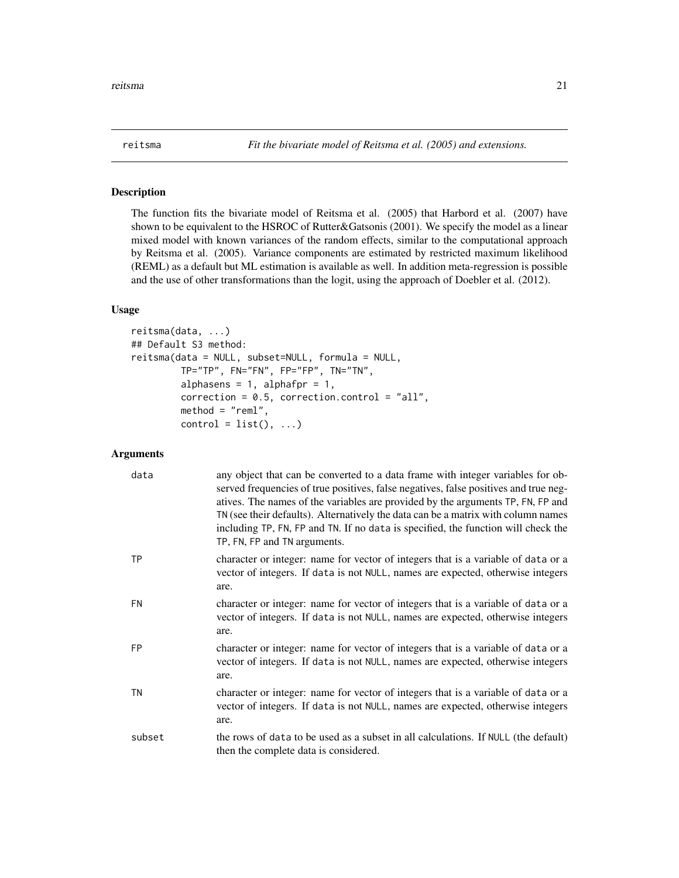<span id="page-20-1"></span><span id="page-20-0"></span>

The function fits the bivariate model of Reitsma et al. (2005) that Harbord et al. (2007) have shown to be equivalent to the HSROC of Rutter&Gatsonis (2001). We specify the model as a linear mixed model with known variances of the random effects, similar to the computational approach by Reitsma et al. (2005). Variance components are estimated by restricted maximum likelihood (REML) as a default but ML estimation is available as well. In addition meta-regression is possible and the use of other transformations than the logit, using the approach of Doebler et al. (2012).

#### Usage

```
reitsma(data, ...)
## Default S3 method:
reitsma(data = NULL, subset=NULL, formula = NULL,
        TP="TP", FN="FN", FP="FP", TN="TN",
         alphasens = 1, alphafpr = 1,
         correction = 0.5, correction.control = "all",
        method = "reml",control = list(), ...)
```

| data      | any object that can be converted to a data frame with integer variables for ob-<br>served frequencies of true positives, false negatives, false positives and true neg-<br>atives. The names of the variables are provided by the arguments TP, FN, FP and<br>TN (see their defaults). Alternatively the data can be a matrix with column names<br>including TP, FN, FP and TN. If no data is specified, the function will check the<br>TP, FN, FP and TN arguments. |
|-----------|----------------------------------------------------------------------------------------------------------------------------------------------------------------------------------------------------------------------------------------------------------------------------------------------------------------------------------------------------------------------------------------------------------------------------------------------------------------------|
| <b>TP</b> | character or integer: name for vector of integers that is a variable of data or a<br>vector of integers. If data is not NULL, names are expected, otherwise integers<br>are.                                                                                                                                                                                                                                                                                         |
| <b>FN</b> | character or integer: name for vector of integers that is a variable of data or a<br>vector of integers. If data is not NULL, names are expected, otherwise integers<br>are.                                                                                                                                                                                                                                                                                         |
| FP.       | character or integer: name for vector of integers that is a variable of data or a<br>vector of integers. If data is not NULL, names are expected, otherwise integers<br>are.                                                                                                                                                                                                                                                                                         |
| TN        | character or integer: name for vector of integers that is a variable of data or a<br>vector of integers. If data is not NULL, names are expected, otherwise integers<br>are.                                                                                                                                                                                                                                                                                         |
| subset    | the rows of data to be used as a subset in all calculations. If NULL (the default)<br>then the complete data is considered.                                                                                                                                                                                                                                                                                                                                          |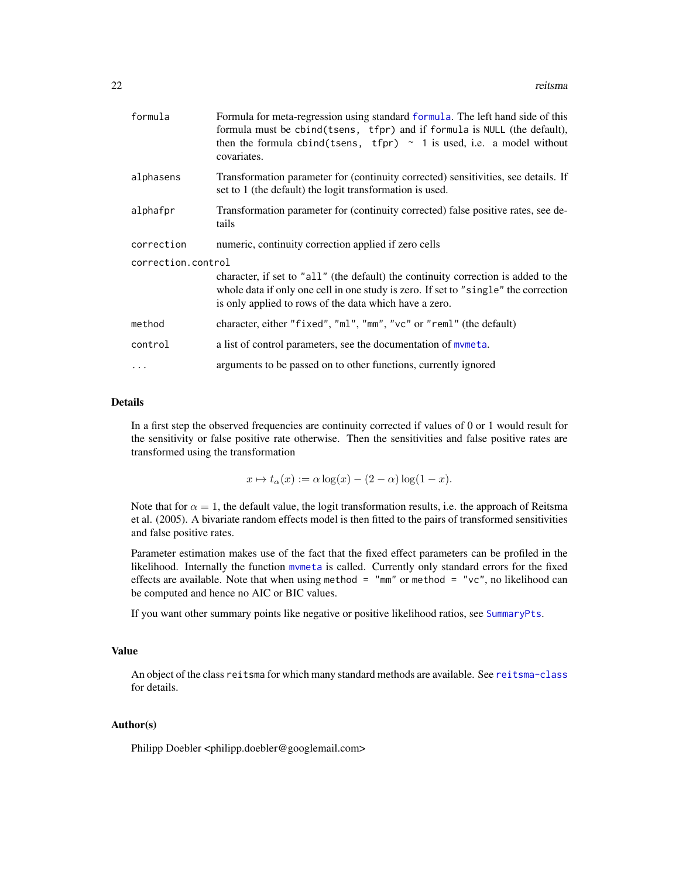<span id="page-21-0"></span>

| formula            | Formula for meta-regression using standard formula. The left hand side of this<br>formula must be cbind(tsens, tfpr) and if formula is NULL (the default),<br>then the formula cbind(tsens, tfpr) $\sim$ 1 is used, i.e. a model without<br>covariates. |
|--------------------|---------------------------------------------------------------------------------------------------------------------------------------------------------------------------------------------------------------------------------------------------------|
| alphasens          | Transformation parameter for (continuity corrected) sensitivities, see details. If<br>set to 1 (the default) the logit transformation is used.                                                                                                          |
| alphafpr           | Transformation parameter for (continuity corrected) false positive rates, see de-<br>tails                                                                                                                                                              |
| correction         | numeric, continuity correction applied if zero cells                                                                                                                                                                                                    |
| correction.control | character, if set to "all" (the default) the continuity correction is added to the<br>whole data if only one cell in one study is zero. If set to "single" the correction<br>is only applied to rows of the data which have a zero.                     |
| method             | character, either "fixed", "ml", "mm", "vc" or "reml" (the default)                                                                                                                                                                                     |
| control            | a list of control parameters, see the documentation of mymeta.                                                                                                                                                                                          |
|                    | arguments to be passed on to other functions, currently ignored                                                                                                                                                                                         |

### Details

In a first step the observed frequencies are continuity corrected if values of 0 or 1 would result for the sensitivity or false positive rate otherwise. Then the sensitivities and false positive rates are transformed using the transformation

 $x \mapsto t_\alpha(x) := \alpha \log(x) - (2 - \alpha) \log(1 - x).$ 

Note that for  $\alpha = 1$ , the default value, the logit transformation results, i.e. the approach of Reitsma et al. (2005). A bivariate random effects model is then fitted to the pairs of transformed sensitivities and false positive rates.

Parameter estimation makes use of the fact that the fixed effect parameters can be profiled in the likelihood. Internally the function [mvmeta](#page-0-0) is called. Currently only standard errors for the fixed effects are available. Note that when using method =  $"mm"$  or method =  $"vc",$  no likelihood can be computed and hence no AIC or BIC values.

If you want other summary points like negative or positive likelihood ratios, see [SummaryPts](#page-29-1).

#### Value

An object of the class reitsma for which many standard methods are available. See [reitsma-class](#page-22-1) for details.

#### Author(s)

Philipp Doebler <philipp.doebler@googlemail.com>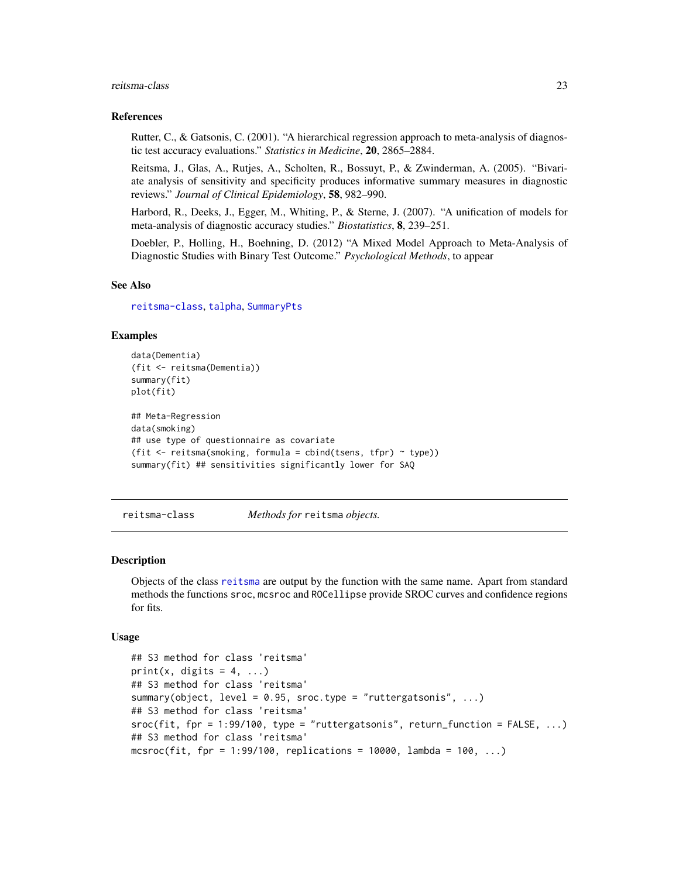#### <span id="page-22-0"></span>reitsma-class 23

#### References

Rutter, C., & Gatsonis, C. (2001). "A hierarchical regression approach to meta-analysis of diagnostic test accuracy evaluations." *Statistics in Medicine*, 20, 2865–2884.

Reitsma, J., Glas, A., Rutjes, A., Scholten, R., Bossuyt, P., & Zwinderman, A. (2005). "Bivariate analysis of sensitivity and specificity produces informative summary measures in diagnostic reviews." *Journal of Clinical Epidemiology*, 58, 982–990.

Harbord, R., Deeks, J., Egger, M., Whiting, P., & Sterne, J. (2007). "A unification of models for meta-analysis of diagnostic accuracy studies." *Biostatistics*, 8, 239–251.

Doebler, P., Holling, H., Boehning, D. (2012) "A Mixed Model Approach to Meta-Analysis of Diagnostic Studies with Binary Test Outcome." *Psychological Methods*, to appear

#### See Also

[reitsma-class](#page-22-1), [talpha](#page-31-1), [SummaryPts](#page-29-1)

### Examples

```
data(Dementia)
(fit <- reitsma(Dementia))
summary(fit)
plot(fit)
## Meta-Regression
data(smoking)
## use type of questionnaire as covariate
(fit <- reitsma(smoking, formula = cbind(tsens, tfpr) ~ type))
summary(fit) ## sensitivities significantly lower for SAQ
```
<span id="page-22-1"></span>reitsma-class *Methods for* reitsma *objects.*

#### Description

Objects of the class [reitsma](#page-20-1) are output by the function with the same name. Apart from standard methods the functions sroc, mcsroc and ROCellipse provide SROC curves and confidence regions for fits.

#### Usage

```
## S3 method for class 'reitsma'
print(x, digits = 4, ...)
## S3 method for class 'reitsma'
summary(object, level = 0.95, sroc.type = "ruttergatsonis", ...)
## S3 method for class 'reitsma'
\text{smoc}(fit, fpr = 1:99/100, type = "ruttergatsonis", return_function = FALSE, ...)## S3 method for class 'reitsma'
mcsroc(fit, fpr = 1:99/100, replications = 10000, lambda = 100, ...)
```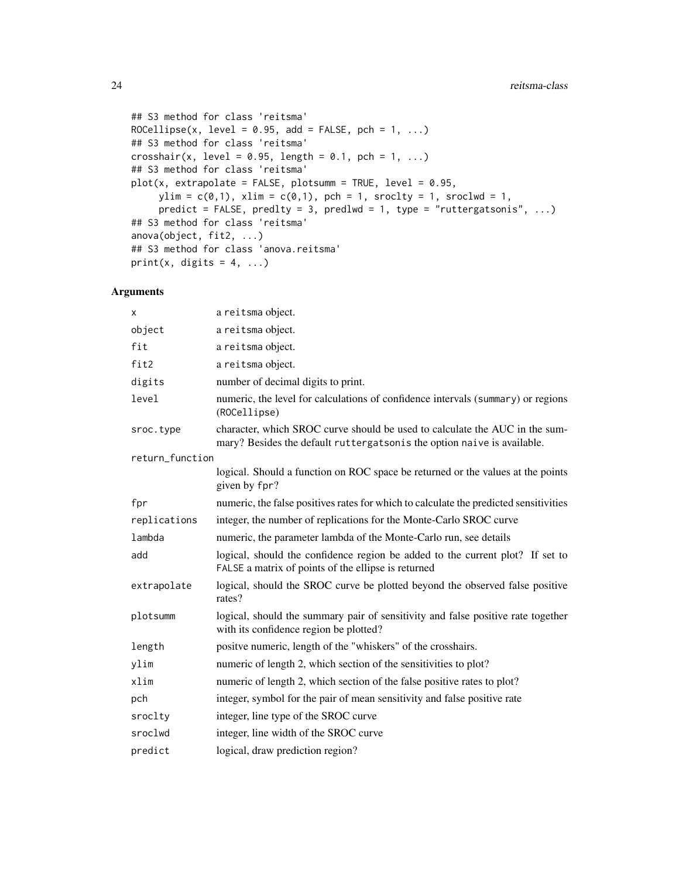```
## S3 method for class 'reitsma'
ROCellipse(x, level = 0.95, add = FALSE, pch = 1, ...)
## S3 method for class 'reitsma'
crosshair(x, level = 0.95, length = 0.1, pch = 1, ...)
## S3 method for class 'reitsma'
plot(x, extrapolate = FALSE, plotsumm = TRUE, level = 0.95,ylim = c(0,1), xlim = c(0,1), pch = 1, srock = 1, srock = 1,
     predict = FALSE, predlty = 3, predlwd = 1, type = "ruttergatsonis", ...)
## S3 method for class 'reitsma'
anova(object, fit2, ...)
## S3 method for class 'anova.reitsma'
print(x, digits = 4, ...)
```

| x               | a reitsma object.                                                                                                                                      |
|-----------------|--------------------------------------------------------------------------------------------------------------------------------------------------------|
| object          | a reitsma object.                                                                                                                                      |
| fit             | a reitsma object.                                                                                                                                      |
| fit2            | a reitsma object.                                                                                                                                      |
| digits          | number of decimal digits to print.                                                                                                                     |
| level           | numeric, the level for calculations of confidence intervals (summary) or regions<br>(ROCellipse)                                                       |
| sroc.type       | character, which SROC curve should be used to calculate the AUC in the sum-<br>mary? Besides the default ruttergatsonis the option naive is available. |
| return_function |                                                                                                                                                        |
|                 | logical. Should a function on ROC space be returned or the values at the points<br>given by fpr?                                                       |
| fpr             | numeric, the false positives rates for which to calculate the predicted sensitivities                                                                  |
| replications    | integer, the number of replications for the Monte-Carlo SROC curve                                                                                     |
| lambda          | numeric, the parameter lambda of the Monte-Carlo run, see details                                                                                      |
| add             | logical, should the confidence region be added to the current plot? If set to<br>FALSE a matrix of points of the ellipse is returned                   |
| extrapolate     | logical, should the SROC curve be plotted beyond the observed false positive<br>rates?                                                                 |
| plotsumm        | logical, should the summary pair of sensitivity and false positive rate together<br>with its confidence region be plotted?                             |
| length          | positve numeric, length of the "whiskers" of the crosshairs.                                                                                           |
| ylim            | numeric of length 2, which section of the sensitivities to plot?                                                                                       |
| xlim            | numeric of length 2, which section of the false positive rates to plot?                                                                                |
| pch             | integer, symbol for the pair of mean sensitivity and false positive rate                                                                               |
| sroclty         | integer, line type of the SROC curve                                                                                                                   |
| sroclwd         | integer, line width of the SROC curve                                                                                                                  |
| predict         | logical, draw prediction region?                                                                                                                       |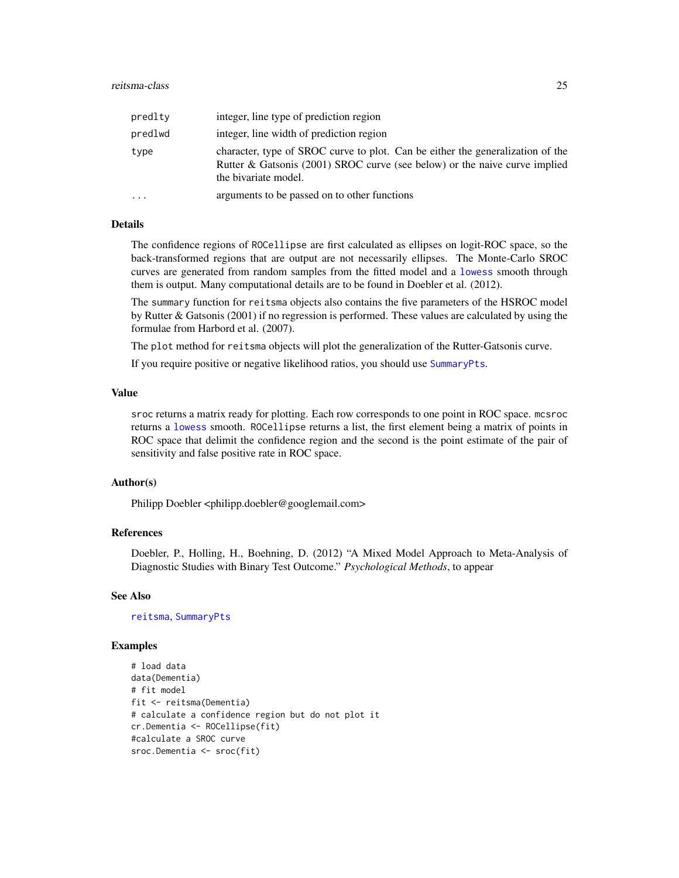<span id="page-24-0"></span>

| predlty   | integer, line type of prediction region                                                                                                                                              |
|-----------|--------------------------------------------------------------------------------------------------------------------------------------------------------------------------------------|
| predlwd   | integer, line width of prediction region                                                                                                                                             |
| type      | character, type of SROC curve to plot. Can be either the generalization of the<br>Rutter & Gatsonis (2001) SROC curve (see below) or the naive curve implied<br>the bivariate model. |
| $\ddotsc$ | arguments to be passed on to other functions                                                                                                                                         |

#### Details

The confidence regions of ROCellipse are first calculated as ellipses on logit-ROC space, so the back-transformed regions that are output are not necessarily ellipses. The Monte-Carlo SROC curves are generated from random samples from the fitted model and a [lowess](#page-0-0) smooth through them is output. Many computational details are to be found in Doebler et al. (2012).

The summary function for reitsma objects also contains the five parameters of the HSROC model by Rutter & Gatsonis (2001) if no regression is performed. These values are calculated by using the formulae from Harbord et al. (2007).

The plot method for reitsma objects will plot the generalization of the Rutter-Gatsonis curve.

If you require positive or negative likelihood ratios, you should use [SummaryPts](#page-29-1).

#### Value

sroc returns a matrix ready for plotting. Each row corresponds to one point in ROC space. mcsroc returns a [lowess](#page-0-0) smooth. ROCellipse returns a list, the first element being a matrix of points in ROC space that delimit the confidence region and the second is the point estimate of the pair of sensitivity and false positive rate in ROC space.

#### Author(s)

Philipp Doebler <philipp.doebler@googlemail.com>

#### References

Doebler, P., Holling, H., Boehning, D. (2012) "A Mixed Model Approach to Meta-Analysis of Diagnostic Studies with Binary Test Outcome." *Psychological Methods*, to appear

#### See Also

[reitsma](#page-20-1), [SummaryPts](#page-29-1)

#### Examples

```
# load data
data(Dementia)
# fit model
fit <- reitsma(Dementia)
# calculate a confidence region but do not plot it
cr.Dementia <- ROCellipse(fit)
#calculate a SROC curve
sroc.Dementia <- sroc(fit)
```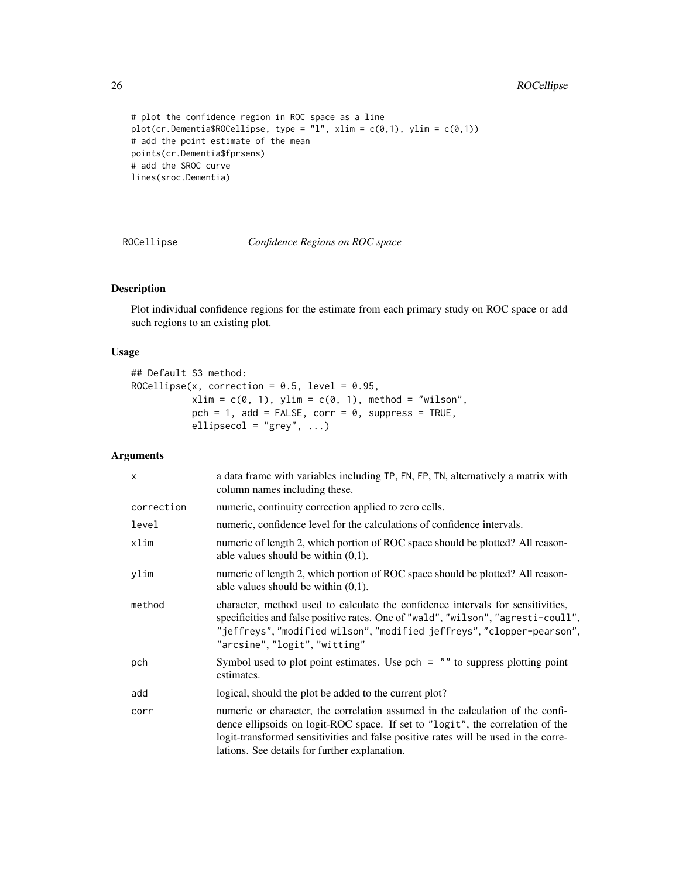```
# plot the confidence region in ROC space as a line
plot(cr.Dementia$ROCellipse, type = "l", xlim = c(0,1), ylim = c(0,1))
# add the point estimate of the mean
points(cr.Dementia$fprsens)
# add the SROC curve
lines(sroc.Dementia)
```
<span id="page-25-1"></span>ROCellipse *Confidence Regions on ROC space*

#### Description

Plot individual confidence regions for the estimate from each primary study on ROC space or add such regions to an existing plot.

#### Usage

```
## Default S3 method:
ROCellipse(x, correction = 0.5, level = 0.95,
           xlim = c(0, 1), ylim = c(0, 1), method = "wilson",
          pch = 1, add = FALSE, corr = 0, suppress = TRUE,
          ellipsecol = "grey", ...)
```

| $\times$   | a data frame with variables including TP, FN, FP, TN, alternatively a matrix with<br>column names including these.                                                                                                                                                                                       |
|------------|----------------------------------------------------------------------------------------------------------------------------------------------------------------------------------------------------------------------------------------------------------------------------------------------------------|
| correction | numeric, continuity correction applied to zero cells.                                                                                                                                                                                                                                                    |
| level      | numeric, confidence level for the calculations of confidence intervals.                                                                                                                                                                                                                                  |
| xlim       | numeric of length 2, which portion of ROC space should be plotted? All reason-<br>able values should be within $(0,1)$ .                                                                                                                                                                                 |
| ylim       | numeric of length 2, which portion of ROC space should be plotted? All reason-<br>able values should be within $(0,1)$ .                                                                                                                                                                                 |
| method     | character, method used to calculate the confidence intervals for sensitivities,<br>specificities and false positive rates. One of "wald", "wilson", "agresti-coull",<br>"jeffreys", "modified wilson", "modified jeffreys", "clopper-pearson",<br>"arcsine", "logit", "witting"                          |
| pch        | Symbol used to plot point estimates. Use $pch = "''$ to suppress plotting point<br>estimates.                                                                                                                                                                                                            |
| add        | logical, should the plot be added to the current plot?                                                                                                                                                                                                                                                   |
| corr       | numeric or character, the correlation assumed in the calculation of the confi-<br>dence ellipsoids on logit-ROC space. If set to "logit", the correlation of the<br>logit-transformed sensitivities and false positive rates will be used in the corre-<br>lations. See details for further explanation. |

<span id="page-25-0"></span>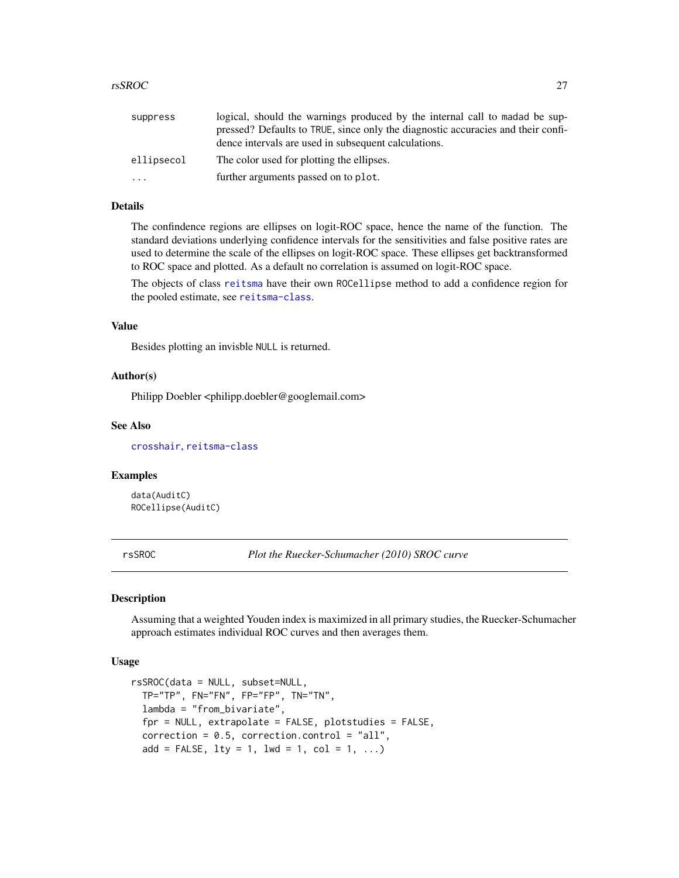#### <span id="page-26-0"></span>rsSROC 27

| suppress   | logical, should the warnings produced by the internal call to madad be sup-      |
|------------|----------------------------------------------------------------------------------|
|            | pressed? Defaults to TRUE, since only the diagnostic accuracies and their confi- |
|            | dence intervals are used in subsequent calculations.                             |
| ellipsecol | The color used for plotting the ellipses.                                        |
| $\cdots$   | further arguments passed on to plot.                                             |

### Details

The confindence regions are ellipses on logit-ROC space, hence the name of the function. The standard deviations underlying confidence intervals for the sensitivities and false positive rates are used to determine the scale of the ellipses on logit-ROC space. These ellipses get backtransformed to ROC space and plotted. As a default no correlation is assumed on logit-ROC space.

The objects of class [reitsma](#page-20-1) have their own ROCellipse method to add a confidence region for the pooled estimate, see [reitsma-class](#page-22-1).

#### Value

Besides plotting an invisble NULL is returned.

#### Author(s)

Philipp Doebler <philipp.doebler@googlemail.com>

#### See Also

[crosshair](#page-4-1), [reitsma-class](#page-22-1)

#### Examples

data(AuditC) ROCellipse(AuditC)

rsSROC *Plot the Ruecker-Schumacher (2010) SROC curve*

### Description

Assuming that a weighted Youden index is maximized in all primary studies, the Ruecker-Schumacher approach estimates individual ROC curves and then averages them.

### Usage

```
rsSROC(data = NULL, subset=NULL,
 TP="TP", FN="FN", FP="FP", TN="TN",
 lambda = "from_bivariate",
  for = NULL, extrapolate = FALSE, plots relies = FALSE,
  correction = 0.5, correction.control = "all",
  add = FALSE, 1ty = 1, 1wd = 1, col = 1, ...)
```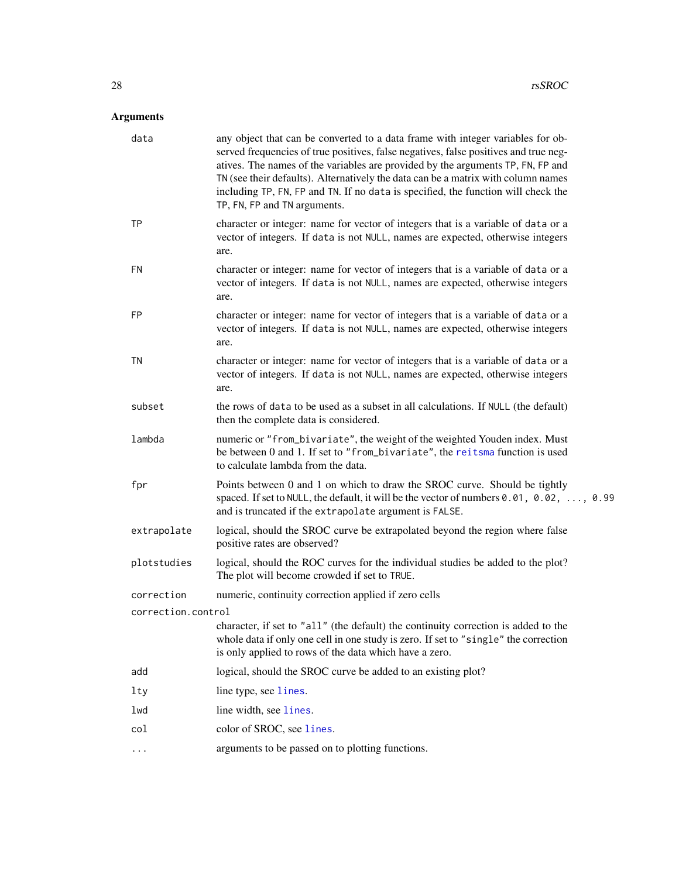<span id="page-27-0"></span>

| spaced. If set to NULL, the default, it will be the vector of numbers $0.01$ , $0.02$ , , 0.99 |
|------------------------------------------------------------------------------------------------|
|                                                                                                |
|                                                                                                |
|                                                                                                |
|                                                                                                |
|                                                                                                |
|                                                                                                |
|                                                                                                |
|                                                                                                |
|                                                                                                |
|                                                                                                |
|                                                                                                |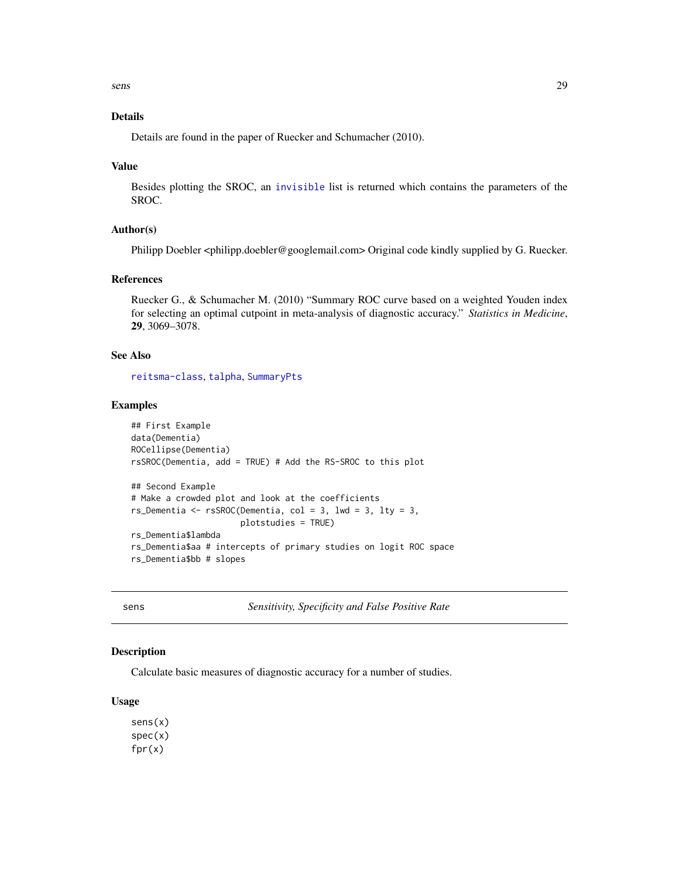<span id="page-28-0"></span>sens 29

### Details

Details are found in the paper of Ruecker and Schumacher (2010).

#### Value

Besides plotting the SROC, an [invisible](#page-0-0) list is returned which contains the parameters of the SROC.

#### Author(s)

Philipp Doebler <philipp.doebler@googlemail.com> Original code kindly supplied by G. Ruecker.

#### References

Ruecker G., & Schumacher M. (2010) "Summary ROC curve based on a weighted Youden index for selecting an optimal cutpoint in meta-analysis of diagnostic accuracy." *Statistics in Medicine*, 29, 3069–3078.

### See Also

[reitsma-class](#page-22-1), [talpha](#page-31-1), [SummaryPts](#page-29-1)

#### Examples

```
## First Example
data(Dementia)
ROCellipse(Dementia)
rsSROC(Dementia, add = TRUE) # Add the RS-SROC to this plot
## Second Example
# Make a crowded plot and look at the coefficients
rs_Dementia <- rsSROC(Dementia, col = 3, lwd = 3, lty = 3,
                      plotstudies = TRUE)
rs_Dementia$lambda
rs_Dementia$aa # intercepts of primary studies on logit ROC space
rs_Dementia$bb # slopes
```
sens *Sensitivity, Specificity and False Positive Rate*

#### Description

Calculate basic measures of diagnostic accuracy for a number of studies.

#### Usage

sens(x) spec(x) fpr(x)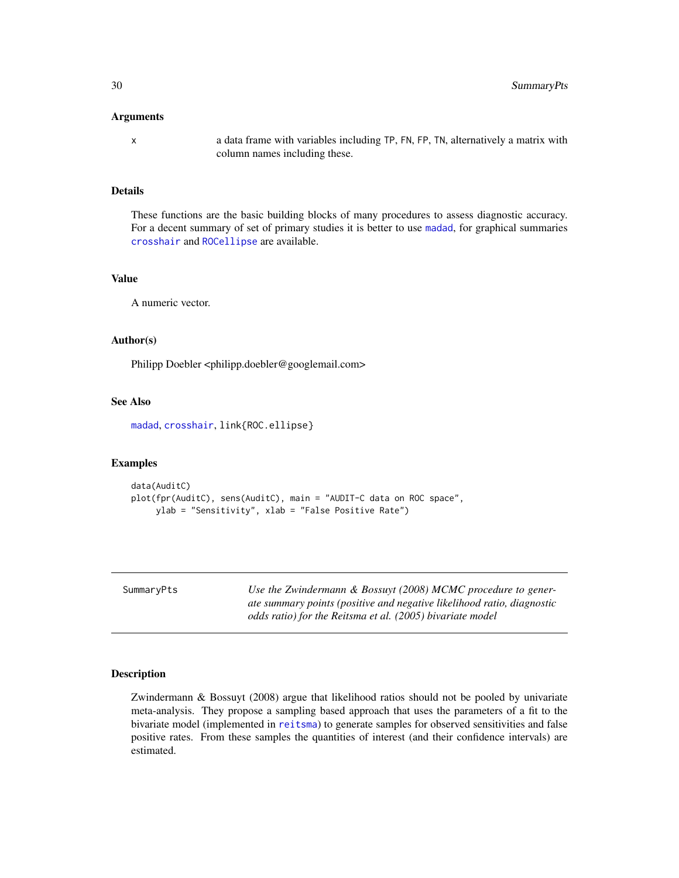#### <span id="page-29-0"></span>Arguments

x a data frame with variables including TP, FN, FP, TN, alternatively a matrix with column names including these.

### Details

These functions are the basic building blocks of many procedures to assess diagnostic accuracy. For a decent summary of set of primary studies it is better to use [madad](#page-9-1), for graphical summaries [crosshair](#page-4-1) and [ROCellipse](#page-25-1) are available.

#### Value

A numeric vector.

### Author(s)

Philipp Doebler <philipp.doebler@googlemail.com>

### See Also

[madad](#page-9-1), [crosshair](#page-4-1), link{ROC.ellipse}

### Examples

```
data(AuditC)
plot(fpr(AuditC), sens(AuditC), main = "AUDIT-C data on ROC space",
    ylab = "Sensitivity", xlab = "False Positive Rate")
```
<span id="page-29-1"></span>

| SummaryPts |  |
|------------|--|
|------------|--|

Use the Zwindermann & Bossuyt (2008) MCMC procedure to gener*ate summary points (positive and negative likelihood ratio, diagnostic odds ratio) for the Reitsma et al. (2005) bivariate model*

#### Description

Zwindermann & Bossuyt (2008) argue that likelihood ratios should not be pooled by univariate meta-analysis. They propose a sampling based approach that uses the parameters of a fit to the bivariate model (implemented in [reitsma](#page-20-1)) to generate samples for observed sensitivities and false positive rates. From these samples the quantities of interest (and their confidence intervals) are estimated.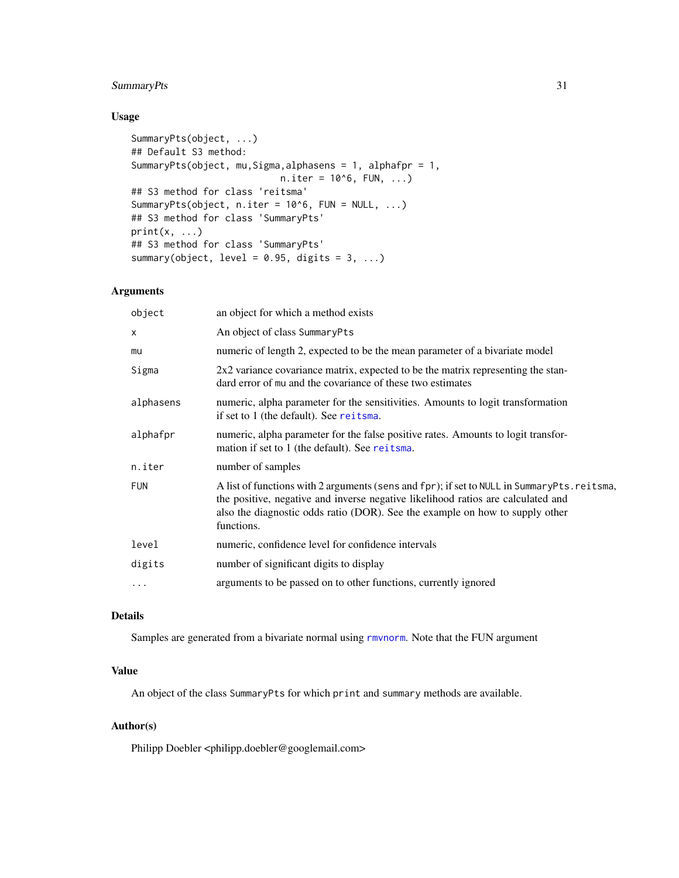### <span id="page-30-0"></span>SummaryPts 31

### Usage

```
SummaryPts(object, ...)
## Default S3 method:
SummaryPts(object, mu,Sigma,alphasens = 1, alphafpr = 1,
                            n.iter = 10<sup>0</sup>6, FUN, ...## S3 method for class 'reitsma'
SummaryPts(object, n.iter = 10^6, FUN = NULL, ...)
## S3 method for class 'SummaryPts'
print(x, \ldots)## S3 method for class 'SummaryPts'
summary(object, level = 0.95, digits = 3, ...)
```
### Arguments

| object       | an object for which a method exists                                                                                                                                                                                                                                          |
|--------------|------------------------------------------------------------------------------------------------------------------------------------------------------------------------------------------------------------------------------------------------------------------------------|
| $\mathsf{x}$ | An object of class SummaryPts                                                                                                                                                                                                                                                |
| mu           | numeric of length 2, expected to be the mean parameter of a bivariate model                                                                                                                                                                                                  |
| Sigma        | 2x2 variance covariance matrix, expected to be the matrix representing the stan-<br>dard error of mu and the covariance of these two estimates                                                                                                                               |
| alphasens    | numeric, alpha parameter for the sensitivities. Amounts to logit transformation<br>if set to 1 (the default). See reitsma.                                                                                                                                                   |
| alphafpr     | numeric, alpha parameter for the false positive rates. Amounts to logit transfor-<br>mation if set to 1 (the default). See reitsma.                                                                                                                                          |
| n.iter       | number of samples                                                                                                                                                                                                                                                            |
| <b>FUN</b>   | A list of functions with 2 arguments (sens and fpr); if set to NULL in SummaryPts.reitsma,<br>the positive, negative and inverse negative likelihood ratios are calculated and<br>also the diagnostic odds ratio (DOR). See the example on how to supply other<br>functions. |
| level        | numeric, confidence level for confidence intervals                                                                                                                                                                                                                           |
| digits       | number of significant digits to display                                                                                                                                                                                                                                      |
| $\ddotsc$    | arguments to be passed on to other functions, currently ignored                                                                                                                                                                                                              |
|              |                                                                                                                                                                                                                                                                              |

### Details

Samples are generated from a bivariate normal using [rmvnorm](#page-0-0). Note that the FUN argument

### Value

An object of the class SummaryPts for which print and summary methods are available.

### Author(s)

Philipp Doebler <philipp.doebler@googlemail.com>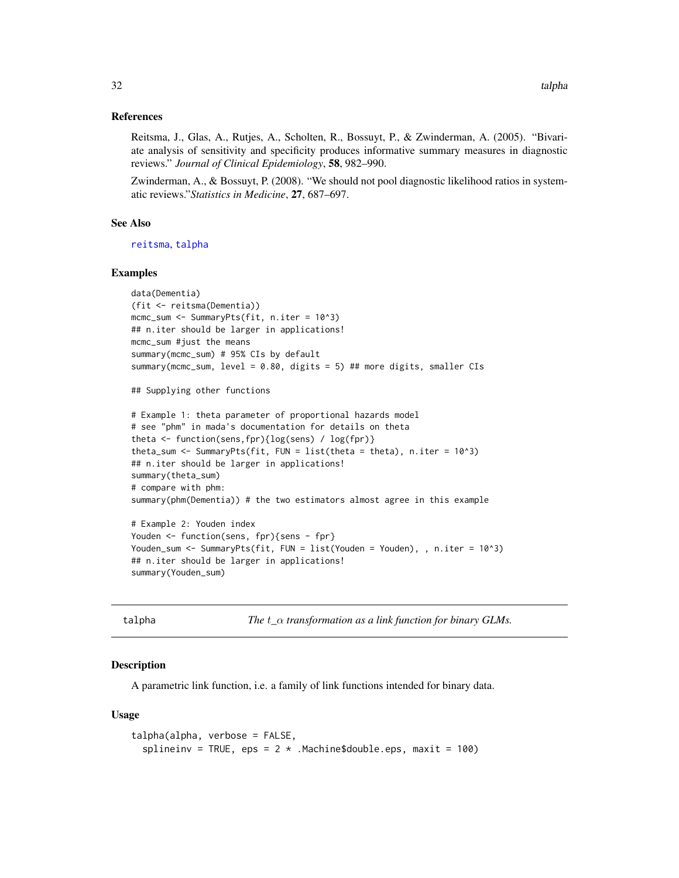#### <span id="page-31-0"></span>References

Reitsma, J., Glas, A., Rutjes, A., Scholten, R., Bossuyt, P., & Zwinderman, A. (2005). "Bivariate analysis of sensitivity and specificity produces informative summary measures in diagnostic reviews." *Journal of Clinical Epidemiology*, 58, 982–990.

Zwinderman, A., & Bossuyt, P. (2008). "We should not pool diagnostic likelihood ratios in systematic reviews."*Statistics in Medicine*, 27, 687–697.

#### See Also

[reitsma](#page-20-1), [talpha](#page-31-1)

#### Examples

```
data(Dementia)
(fit <- reitsma(Dementia))
mcmc_sum <- SummaryPts(fit, n.iter = 10^3)
## n.iter should be larger in applications!
mcmc_sum #just the means
summary(mcmc_sum) # 95% CIs by default
summary(mcmc_sum, level = 0.80, digits = 5) ## more digits, smaller CIs
## Supplying other functions
# Example 1: theta parameter of proportional hazards model
# see "phm" in mada's documentation for details on theta
theta <- function(sens,fpr){log(sens) / log(fpr)}
theta_sum <- SummaryPts(fit, FUN = list(theta = theta), n.iter = 10^3)
## n.iter should be larger in applications!
summary(theta_sum)
# compare with phm:
summary(phm(Dementia)) # the two estimators almost agree in this example
# Example 2: Youden index
Youden <- function(sens, fpr){sens - fpr}
Youden_sum <- SummaryPts(fit, FUN = list(Youden = Youden), , n.iter = 10^3)
## n.iter should be larger in applications!
```
summary(Youden\_sum)

<span id="page-31-1"></span>talpha *The* t*\_*α *transformation as a link function for binary GLMs.*

#### **Description**

A parametric link function, i.e. a family of link functions intended for binary data.

#### Usage

```
talpha(alpha, verbose = FALSE,
  splineinv = TRUE, eps = 2 * . Machine$double.eps, maxit = 100)
```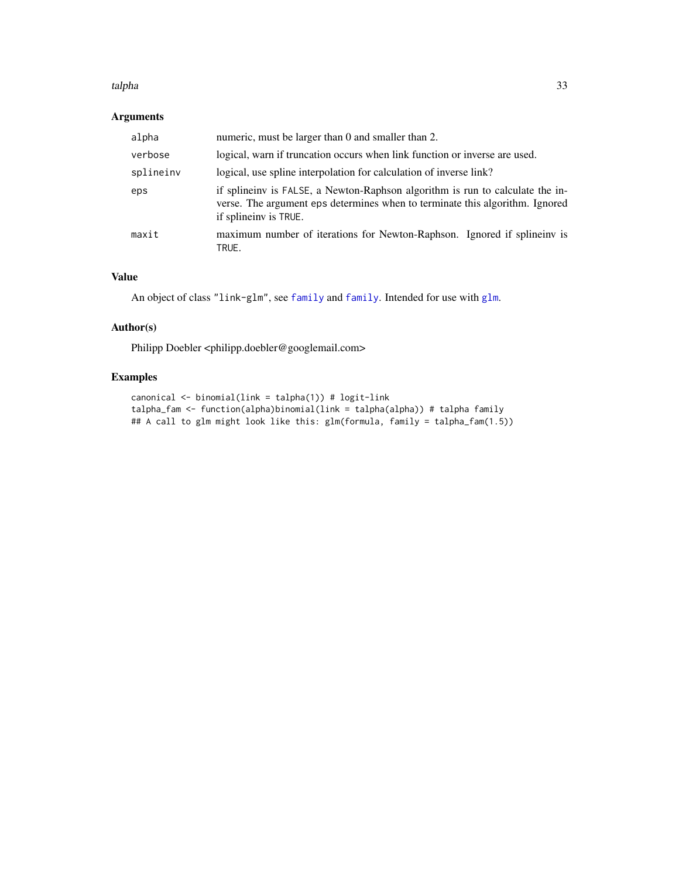#### <span id="page-32-0"></span>talpha 33

### Arguments

| alpha     | numeric, must be larger than 0 and smaller than 2.                                                                                                                                     |
|-----------|----------------------------------------------------------------------------------------------------------------------------------------------------------------------------------------|
| verbose   | logical, warn if truncation occurs when link function or inverse are used.                                                                                                             |
| splineinv | logical, use spline interpolation for calculation of inverse link?                                                                                                                     |
| eps       | if splineinv is FALSE, a Newton-Raphson algorithm is run to calculate the in-<br>verse. The argument eps determines when to terminate this algorithm. Ignored<br>if splineinv is TRUE. |
| maxit     | maximum number of iterations for Newton-Raphson. Ignored if spline in is<br>TRUE.                                                                                                      |

### Value

```
An object of class "link-glm", see family and family. Intended for use with glm.
```
### Author(s)

Philipp Doebler <philipp.doebler@googlemail.com>

### Examples

```
canonical <- binomial(link = talpha(1)) # logit-link
talpha_fam <- function(alpha)binomial(link = talpha(alpha)) # talpha family
## A call to glm might look like this: glm(formula, family = talpha_fam(1.5))
```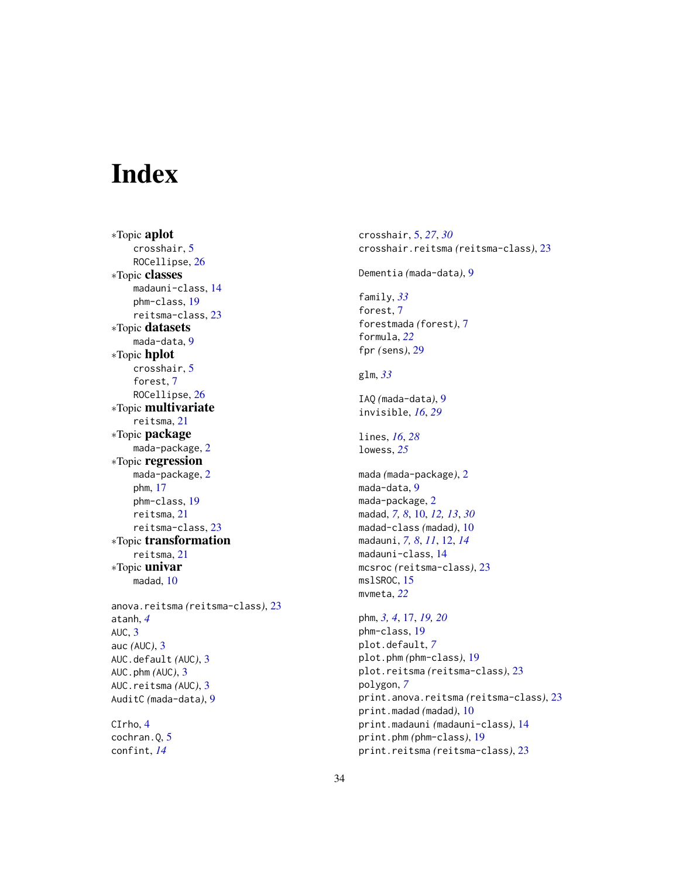# <span id="page-33-0"></span>Index

∗Topic aplot crosshair, [5](#page-4-0) ROCellipse, [26](#page-25-0) ∗Topic classes madauni-class, [14](#page-13-0) phm-class, [19](#page-18-0) reitsma-class, [23](#page-22-0) ∗Topic datasets mada-data, [9](#page-8-0) ∗Topic hplot crosshair, [5](#page-4-0) forest, [7](#page-6-0) ROCellipse, [26](#page-25-0) ∗Topic multivariate reitsma, [21](#page-20-0) ∗Topic package mada-package, [2](#page-1-0) ∗Topic regression mada-package, [2](#page-1-0) phm, [17](#page-16-0) phm-class, [19](#page-18-0) reitsma, [21](#page-20-0) reitsma-class, [23](#page-22-0) ∗Topic transformation reitsma, [21](#page-20-0) ∗Topic univar madad, [10](#page-9-0) anova.reitsma *(*reitsma-class*)*, [23](#page-22-0) atanh, *[4](#page-3-0)* AUC, [3](#page-2-0) auc *(*AUC*)*, [3](#page-2-0) AUC.default *(*AUC*)*, [3](#page-2-0) AUC.phm *(*AUC*)*, [3](#page-2-0) AUC.reitsma *(*AUC*)*, [3](#page-2-0) AuditC *(*mada-data*)*, [9](#page-8-0) CIrho, [4](#page-3-0) cochran.Q, [5](#page-4-0) confint, *[14](#page-13-0)*

crosshair, [5,](#page-4-0) *[27](#page-26-0)*, *[30](#page-29-0)* crosshair.reitsma *(*reitsma-class*)*, [23](#page-22-0) Dementia *(*mada-data*)*, [9](#page-8-0) family, *[33](#page-32-0)* forest, [7](#page-6-0) forestmada *(*forest*)*, [7](#page-6-0) formula, *[22](#page-21-0)* fpr *(*sens*)*, [29](#page-28-0) glm, *[33](#page-32-0)* IAQ *(*mada-data*)*, [9](#page-8-0) invisible, *[16](#page-15-0)*, *[29](#page-28-0)* lines, *[16](#page-15-0)*, *[28](#page-27-0)* lowess, *[25](#page-24-0)* mada *(*mada-package*)*, [2](#page-1-0) mada-data, [9](#page-8-0) mada-package, [2](#page-1-0) madad, *[7,](#page-6-0) [8](#page-7-0)*, [10,](#page-9-0) *[12,](#page-11-0) [13](#page-12-0)*, *[30](#page-29-0)* madad-class *(*madad*)*, [10](#page-9-0) madauni, *[7,](#page-6-0) [8](#page-7-0)*, *[11](#page-10-0)*, [12,](#page-11-0) *[14](#page-13-0)* madauni-class, [14](#page-13-0) mcsroc *(*reitsma-class*)*, [23](#page-22-0) mslSROC, [15](#page-14-0) mvmeta, *[22](#page-21-0)* phm, *[3,](#page-2-0) [4](#page-3-0)*, [17,](#page-16-0) *[19,](#page-18-0) [20](#page-19-0)* phm-class, [19](#page-18-0) plot.default, *[7](#page-6-0)* plot.phm *(*phm-class*)*, [19](#page-18-0) plot.reitsma *(*reitsma-class*)*, [23](#page-22-0) polygon, *[7](#page-6-0)* print.anova.reitsma *(*reitsma-class*)*, [23](#page-22-0) print.madad *(*madad*)*, [10](#page-9-0) print.madauni *(*madauni-class*)*, [14](#page-13-0) print.phm *(*phm-class*)*, [19](#page-18-0) print.reitsma *(*reitsma-class*)*, [23](#page-22-0)